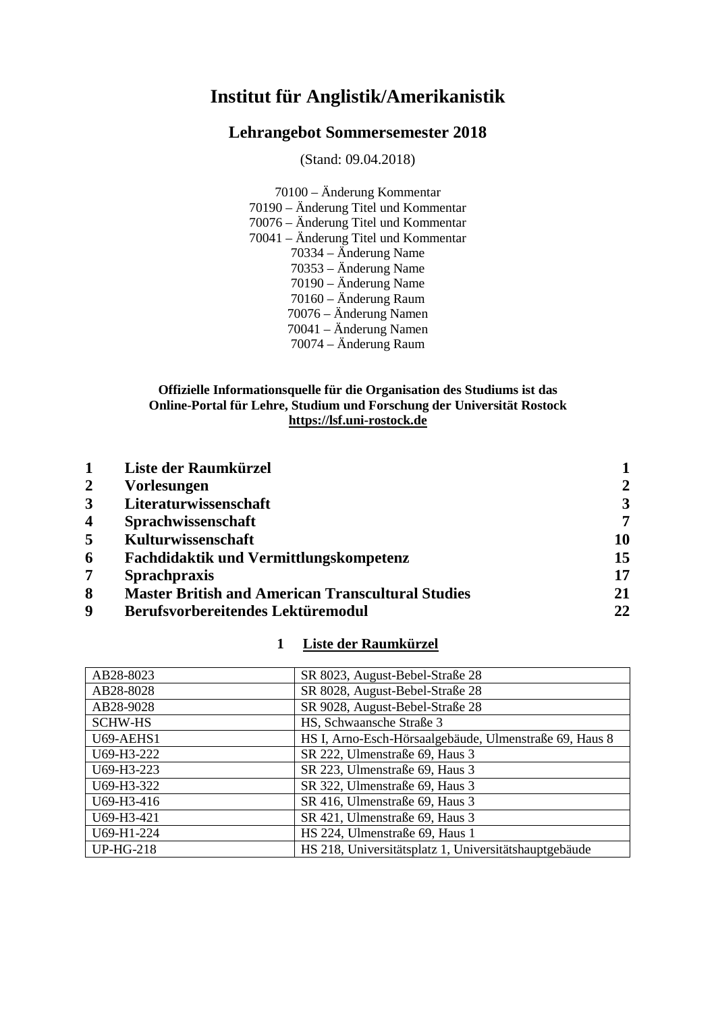# **Institut für Anglistik/Amerikanistik**

# **Lehrangebot Sommersemester 2018**

(Stand: 09.04.2018)

70100 – Änderung Kommentar 70190 – Änderung Titel und Kommentar 70076 – Änderung Titel und Kommentar 70041 – Änderung Titel und Kommentar 70334 – Änderung Name 70353 – Änderung Name 70190 – Änderung Name 70160 – Änderung Raum 70076 – Änderung Namen 70041 – Änderung Namen 70074 – Änderung Raum

# **Offizielle Informationsquelle für die Organisation des Studiums ist das Online-Portal für Lehre, Studium und Forschung der Universität Rostock [https://lsf.uni-rostock.de](https://lsf.uni-rostock.de/)**

|                         | Liste der Raumkürzel                                     |                |
|-------------------------|----------------------------------------------------------|----------------|
| $\overline{2}$          | <b>Vorlesungen</b>                                       | $\overline{2}$ |
| $\mathbf{3}$            | Literaturwissenschaft                                    | 3              |
| $\overline{\mathbf{4}}$ | Sprachwissenschaft                                       | 7              |
| 5                       | Kulturwissenschaft                                       | 10             |
| 6                       | <b>Fachdidaktik und Vermittlungskompetenz</b>            | 15             |
| 7                       | <b>Sprachpraxis</b>                                      | 17             |
| 8                       | <b>Master British and American Transcultural Studies</b> | 21             |
| 9                       | Berufsvorbereitendes Lektüremodul                        | 22             |

# **1 Liste der Raumkürzel**

<span id="page-0-1"></span><span id="page-0-0"></span>

| AB28-8023        | SR 8023, August-Bebel-Straße 28                        |
|------------------|--------------------------------------------------------|
| AB28-8028        | SR 8028, August-Bebel-Straße 28                        |
| AB28-9028        | SR 9028, August-Bebel-Straße 28                        |
| <b>SCHW-HS</b>   | HS, Schwaansche Straße 3                               |
| U69-AEHS1        | HS I, Arno-Esch-Hörsaalgebäude, Ulmenstraße 69, Haus 8 |
| U69-H3-222       | SR 222, Ulmenstraße 69, Haus 3                         |
| U69-H3-223       | SR 223, Ulmenstraße 69, Haus 3                         |
| U69-H3-322       | SR 322, Ulmenstraße 69, Haus 3                         |
| U69-H3-416       | SR 416, Ulmenstraße 69, Haus 3                         |
| U69-H3-421       | SR 421, Ulmenstraße 69, Haus 3                         |
| U69-H1-224       | HS 224, Ulmenstraße 69, Haus 1                         |
| <b>UP-HG-218</b> | HS 218, Universitätsplatz 1, Universitätshauptgebäude  |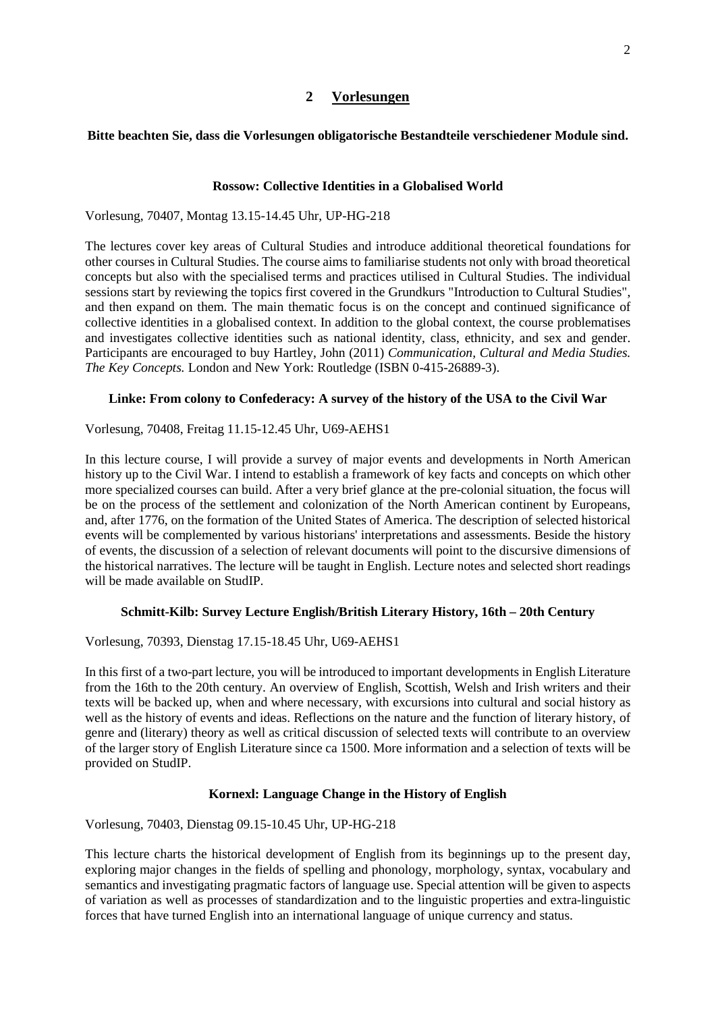#### **2 Vorlesungen**

#### **Bitte beachten Sie, dass die Vorlesungen obligatorische Bestandteile verschiedener Module sind.**

#### **Rossow: Collective Identities in a Globalised World**

Vorlesung, 70407, Montag 13.15-14.45 Uhr, UP-HG-218

The lectures cover key areas of Cultural Studies and introduce additional theoretical foundations for other courses in Cultural Studies. The course aims to familiarise students not only with broad theoretical concepts but also with the specialised terms and practices utilised in Cultural Studies. The individual sessions start by reviewing the topics first covered in the Grundkurs "Introduction to Cultural Studies", and then expand on them. The main thematic focus is on the concept and continued significance of collective identities in a globalised context. In addition to the global context, the course problematises and investigates collective identities such as national identity, class, ethnicity, and sex and gender. Participants are encouraged to buy Hartley, John (2011) *Communication, Cultural and Media Studies. The Key Concepts.* London and New York: Routledge (ISBN 0-415-26889-3).

#### **Linke: From colony to Confederacy: A survey of the history of the USA to the Civil War**

Vorlesung, 70408, Freitag 11.15-12.45 Uhr, U69-AEHS1

In this lecture course, I will provide a survey of major events and developments in North American history up to the Civil War. I intend to establish a framework of key facts and concepts on which other more specialized courses can build. After a very brief glance at the pre-colonial situation, the focus will be on the process of the settlement and colonization of the North American continent by Europeans, and, after 1776, on the formation of the United States of America. The description of selected historical events will be complemented by various historians' interpretations and assessments. Beside the history of events, the discussion of a selection of relevant documents will point to the discursive dimensions of the historical narratives. The lecture will be taught in English. Lecture notes and selected short readings will be made available on StudIP.

#### **Schmitt-Kilb: Survey Lecture English/British Literary History, 16th – 20th Century**

Vorlesung, 70393, Dienstag 17.15-18.45 Uhr, U69-AEHS1

In this first of a two-part lecture, you will be introduced to important developments in English Literature from the 16th to the 20th century. An overview of English, Scottish, Welsh and Irish writers and their texts will be backed up, when and where necessary, with excursions into cultural and social history as well as the history of events and ideas. Reflections on the nature and the function of literary history, of genre and (literary) theory as well as critical discussion of selected texts will contribute to an overview of the larger story of English Literature since ca 1500. More information and a selection of texts will be provided on StudIP.

#### **Kornexl: Language Change in the History of English**

Vorlesung, 70403, Dienstag 09.15-10.45 Uhr, UP-HG-218

This lecture charts the historical development of English from its beginnings up to the present day, exploring major changes in the fields of spelling and phonology, morphology, syntax, vocabulary and semantics and investigating pragmatic factors of language use. Special attention will be given to aspects of variation as well as processes of standardization and to the linguistic properties and extra-linguistic forces that have turned English into an international language of unique currency and status.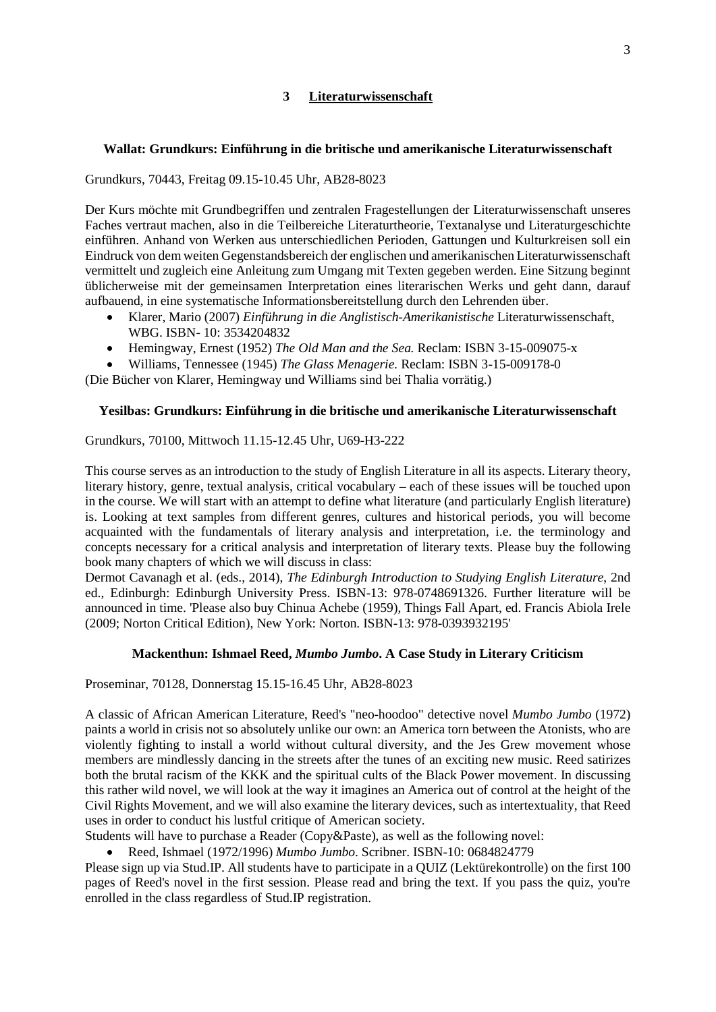## **3 Literaturwissenschaft**

# <span id="page-2-0"></span>**Wallat: Grundkurs: Einführung in die britische und amerikanische Literaturwissenschaft**

Grundkurs, 70443, Freitag 09.15-10.45 Uhr, AB28-8023

Der Kurs möchte mit Grundbegriffen und zentralen Fragestellungen der Literaturwissenschaft unseres Faches vertraut machen, also in die Teilbereiche Literaturtheorie, Textanalyse und Literaturgeschichte einführen. Anhand von Werken aus unterschiedlichen Perioden, Gattungen und Kulturkreisen soll ein Eindruck von dem weiten Gegenstandsbereich der englischen und amerikanischen Literaturwissenschaft vermittelt und zugleich eine Anleitung zum Umgang mit Texten gegeben werden. Eine Sitzung beginnt üblicherweise mit der gemeinsamen Interpretation eines literarischen Werks und geht dann, darauf aufbauend, in eine systematische Informationsbereitstellung durch den Lehrenden über.

- Klarer, Mario (2007) *Einführung in die Anglistisch-Amerikanistische* Literaturwissenschaft, WBG. ISBN- 10: 3534204832
- Hemingway, Ernest (1952) *The Old Man and the Sea.* Reclam: ISBN 3-15-009075-x
- Williams, Tennessee (1945) *The Glass Menagerie.* Reclam: ISBN 3-15-009178-0 (Die Bücher von Klarer, Hemingway und Williams sind bei Thalia vorrätig.)

## **Yesilbas: Grundkurs: Einführung in die britische und amerikanische Literaturwissenschaft**

## Grundkurs, 70100, Mittwoch 11.15-12.45 Uhr, U69-H3-222

This course serves as an introduction to the study of English Literature in all its aspects. Literary theory, literary history, genre, textual analysis, critical vocabulary – each of these issues will be touched upon in the course. We will start with an attempt to define what literature (and particularly English literature) is. Looking at text samples from different genres, cultures and historical periods, you will become acquainted with the fundamentals of literary analysis and interpretation, i.e. the terminology and concepts necessary for a critical analysis and interpretation of literary texts. Please buy the following book many chapters of which we will discuss in class:

Dermot Cavanagh et al. (eds., 2014), *The Edinburgh Introduction to Studying English Literature*, 2nd ed., Edinburgh: Edinburgh University Press. ISBN-13: 978-0748691326. Further literature will be announced in time. 'Please also buy Chinua Achebe (1959), Things Fall Apart, ed. Francis Abiola Irele (2009; Norton Critical Edition), New York: Norton. ISBN-13: 978-0393932195'

## **Mackenthun: Ishmael Reed,** *Mumbo Jumbo***. A Case Study in Literary Criticism**

Proseminar, 70128, Donnerstag 15.15-16.45 Uhr, AB28-8023

A classic of African American Literature, Reed's "neo-hoodoo" detective novel *Mumbo Jumbo* (1972) paints a world in crisis not so absolutely unlike our own: an America torn between the Atonists, who are violently fighting to install a world without cultural diversity, and the Jes Grew movement whose members are mindlessly dancing in the streets after the tunes of an exciting new music. Reed satirizes both the brutal racism of the KKK and the spiritual cults of the Black Power movement. In discussing this rather wild novel, we will look at the way it imagines an America out of control at the height of the Civil Rights Movement, and we will also examine the literary devices, such as intertextuality, that Reed uses in order to conduct his lustful critique of American society.

Students will have to purchase a Reader (Copy&Paste), as well as the following novel:

• Reed, Ishmael (1972/1996) *Mumbo Jumbo*. Scribner. ISBN-10: 0684824779

Please sign up via Stud.IP. All students have to participate in a QUIZ (Lektürekontrolle) on the first 100 pages of Reed's novel in the first session. Please read and bring the text. If you pass the quiz, you're enrolled in the class regardless of Stud.IP registration.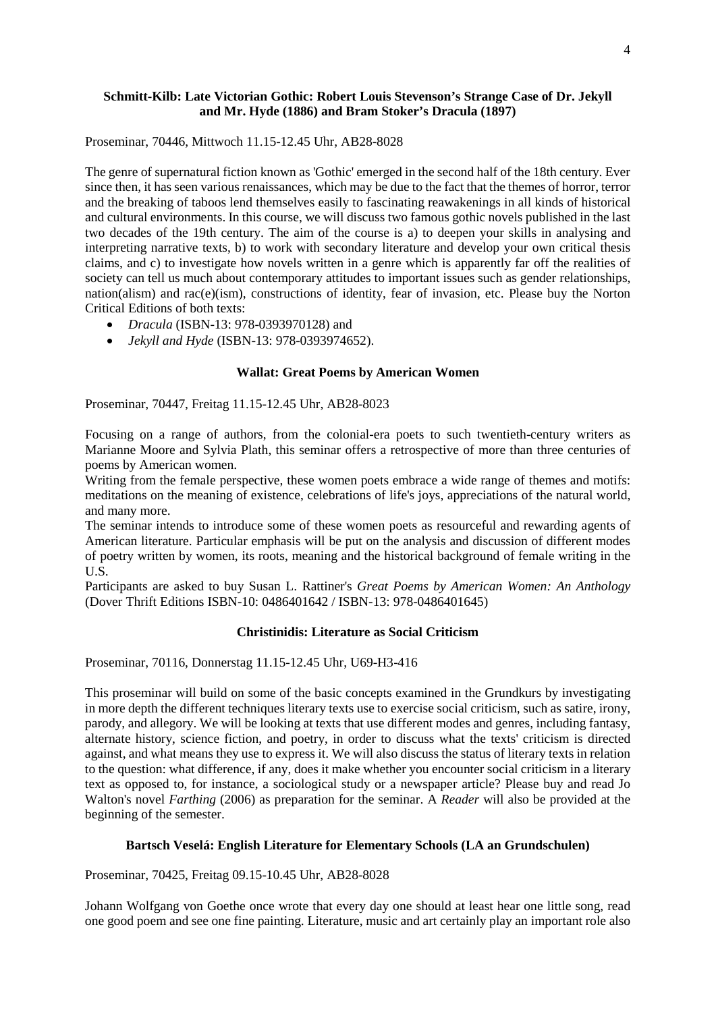## **Schmitt-Kilb: Late Victorian Gothic: Robert Louis Stevenson's Strange Case of Dr. Jekyll and Mr. Hyde (1886) and Bram Stoker's Dracula (1897)**

Proseminar, 70446, Mittwoch 11.15-12.45 Uhr, AB28-8028

The genre of supernatural fiction known as 'Gothic' emerged in the second half of the 18th century. Ever since then, it has seen various renaissances, which may be due to the fact that the themes of horror, terror and the breaking of taboos lend themselves easily to fascinating reawakenings in all kinds of historical and cultural environments. In this course, we will discuss two famous gothic novels published in the last two decades of the 19th century. The aim of the course is a) to deepen your skills in analysing and interpreting narrative texts, b) to work with secondary literature and develop your own critical thesis claims, and c) to investigate how novels written in a genre which is apparently far off the realities of society can tell us much about contemporary attitudes to important issues such as gender relationships, nation(alism) and rac(e)(ism), constructions of identity, fear of invasion, etc. Please buy the Norton Critical Editions of both texts:

- *Dracula* (ISBN-13: 978-0393970128) and
- *Jekyll and Hyde* (ISBN-13: 978-0393974652).

#### **Wallat: Great Poems by American Women**

Proseminar, 70447, Freitag 11.15-12.45 Uhr, AB28-8023

Focusing on a range of authors, from the colonial-era poets to such twentieth-century writers as Marianne Moore and Sylvia Plath, this seminar offers a retrospective of more than three centuries of poems by American women.

Writing from the female perspective, these women poets embrace a wide range of themes and motifs: meditations on the meaning of existence, celebrations of life's joys, appreciations of the natural world, and many more.

The seminar intends to introduce some of these women poets as resourceful and rewarding agents of American literature. Particular emphasis will be put on the analysis and discussion of different modes of poetry written by women, its roots, meaning and the historical background of female writing in the U.S.

Participants are asked to buy Susan L. Rattiner's *Great Poems by American Women: An Anthology* (Dover Thrift Editions ISBN-10: 0486401642 / ISBN-13: 978-0486401645)

#### **Christinidis: Literature as Social Criticism**

Proseminar, 70116, Donnerstag 11.15-12.45 Uhr, U69-H3-416

This proseminar will build on some of the basic concepts examined in the Grundkurs by investigating in more depth the different techniques literary texts use to exercise social criticism, such as satire, irony, parody, and allegory. We will be looking at texts that use different modes and genres, including fantasy, alternate history, science fiction, and poetry, in order to discuss what the texts' criticism is directed against, and what means they use to express it. We will also discuss the status of literary texts in relation to the question: what difference, if any, does it make whether you encounter social criticism in a literary text as opposed to, for instance, a sociological study or a newspaper article? Please buy and read Jo Walton's novel *Farthing* (2006) as preparation for the seminar. A *Reader* will also be provided at the beginning of the semester.

## **Bartsch Veselá: English Literature for Elementary Schools (LA an Grundschulen)**

Proseminar, 70425, Freitag 09.15-10.45 Uhr, AB28-8028

Johann Wolfgang von Goethe once wrote that every day one should at least hear one little song, read one good poem and see one fine painting. Literature, music and art certainly play an important role also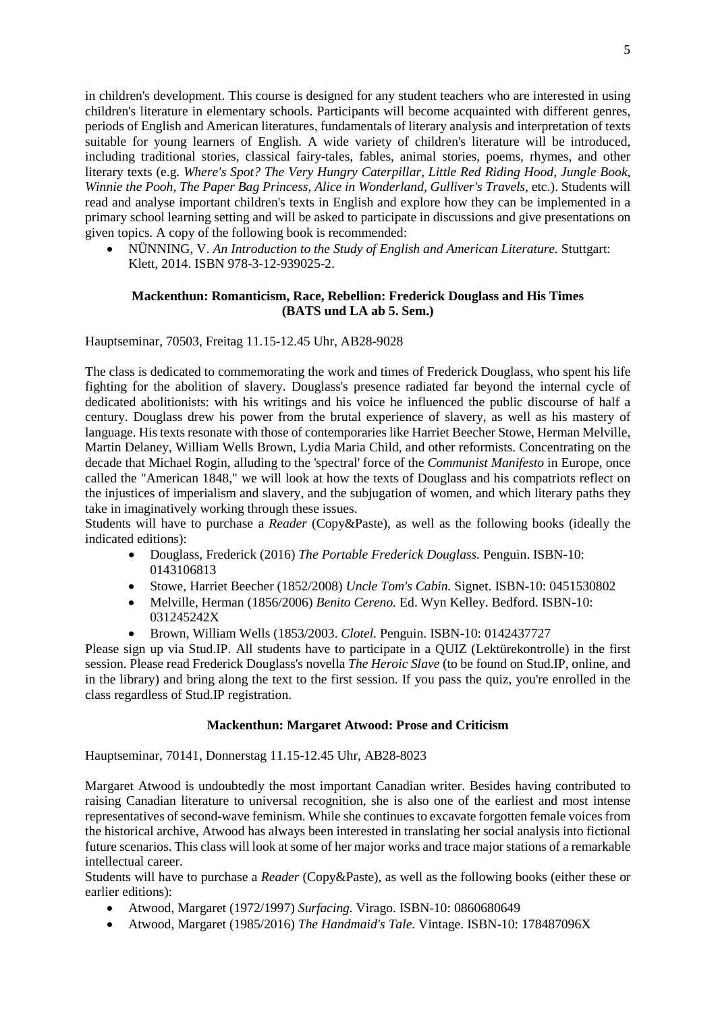in children's development. This course is designed for any student teachers who are interested in using children's literature in elementary schools. Participants will become acquainted with different genres, periods of English and American literatures, fundamentals of literary analysis and interpretation of texts suitable for young learners of English. A wide variety of children's literature will be introduced, including traditional stories, classical fairy-tales, fables, animal stories, poems, rhymes, and other literary texts (e.g. *Where's Spot? The Very Hungry Caterpillar, Little Red Riding Hood, Jungle Book, Winnie the Pooh, The Paper Bag Princess, Alice in Wonderland, Gulliver's Travels,* etc.). Students will read and analyse important children's texts in English and explore how they can be implemented in a primary school learning setting and will be asked to participate in discussions and give presentations on given topics. A copy of the following book is recommended:

• NÜNNING, V. *An Introduction to the Study of English and American Literature.* Stuttgart: Klett, 2014. ISBN 978-3-12-939025-2.

## **Mackenthun: Romanticism, Race, Rebellion: Frederick Douglass and His Times (BATS und LA ab 5. Sem.)**

Hauptseminar, 70503, Freitag 11.15-12.45 Uhr, AB28-9028

The class is dedicated to commemorating the work and times of Frederick Douglass, who spent his life fighting for the abolition of slavery. Douglass's presence radiated far beyond the internal cycle of dedicated abolitionists: with his writings and his voice he influenced the public discourse of half a century. Douglass drew his power from the brutal experience of slavery, as well as his mastery of language. His texts resonate with those of contemporaries like Harriet Beecher Stowe, Herman Melville, Martin Delaney, William Wells Brown, Lydia Maria Child, and other reformists. Concentrating on the decade that Michael Rogin, alluding to the 'spectral' force of the *Communist Manifesto* in Europe, once called the "American 1848," we will look at how the texts of Douglass and his compatriots reflect on the injustices of imperialism and slavery, and the subjugation of women, and which literary paths they take in imaginatively working through these issues.

Students will have to purchase a *Reader* (Copy&Paste), as well as the following books (ideally the indicated editions):

- Douglass, Frederick (2016) *The Portable Frederick Douglass.* Penguin. ISBN-10: 0143106813
- Stowe, Harriet Beecher (1852/2008) *Uncle Tom's Cabin.* Signet. ISBN-10: 0451530802
- Melville, Herman (1856/2006) *Benito Cereno.* Ed. Wyn Kelley. Bedford. ISBN-10: 031245242X
- Brown, William Wells (1853/2003. *Clotel.* Penguin. ISBN-10: 0142437727

Please sign up via Stud.IP. All students have to participate in a QUIZ (Lektürekontrolle) in the first session. Please read Frederick Douglass's novella *The Heroic Slave* (to be found on Stud.IP, online, and in the library) and bring along the text to the first session. If you pass the quiz, you're enrolled in the class regardless of Stud.IP registration.

## **Mackenthun: Margaret Atwood: Prose and Criticism**

Hauptseminar, 70141, Donnerstag 11.15-12.45 Uhr, AB28-8023

Margaret Atwood is undoubtedly the most important Canadian writer. Besides having contributed to raising Canadian literature to universal recognition, she is also one of the earliest and most intense representatives of second-wave feminism. While she continues to excavate forgotten female voices from the historical archive, Atwood has always been interested in translating her social analysis into fictional future scenarios. This class will look at some of her major works and trace major stations of a remarkable intellectual career.

Students will have to purchase a *Reader* (Copy&Paste), as well as the following books (either these or earlier editions):

- Atwood, Margaret (1972/1997) *Surfacing.* Virago. ISBN-10: 0860680649
- Atwood, Margaret (1985/2016) *The Handmaid's Tale.* Vintage. ISBN-10: 178487096X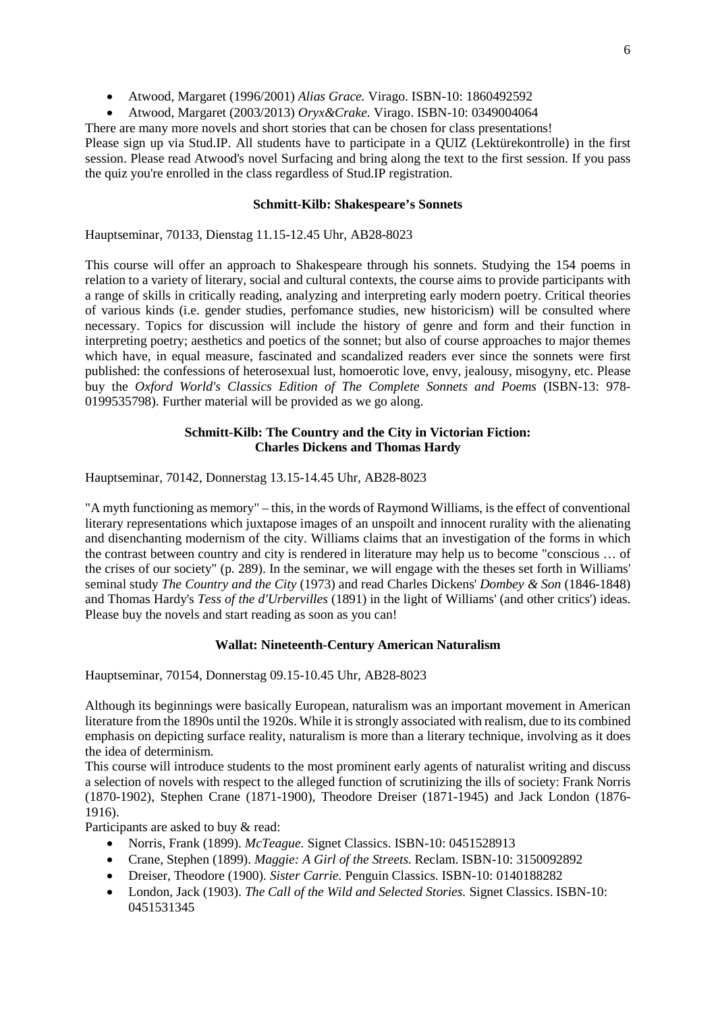- Atwood, Margaret (1996/2001) *Alias Grace.* Virago. ISBN-10: 1860492592
- Atwood, Margaret (2003/2013) *Oryx&Crake.* Virago. ISBN-10: 0349004064

There are many more novels and short stories that can be chosen for class presentations!

Please sign up via Stud.IP. All students have to participate in a QUIZ (Lektürekontrolle) in the first session. Please read Atwood's novel Surfacing and bring along the text to the first session. If you pass the quiz you're enrolled in the class regardless of Stud.IP registration.

## **Schmitt-Kilb: Shakespeare's Sonnets**

Hauptseminar, 70133, Dienstag 11.15-12.45 Uhr, AB28-8023

This course will offer an approach to Shakespeare through his sonnets. Studying the 154 poems in relation to a variety of literary, social and cultural contexts, the course aims to provide participants with a range of skills in critically reading, analyzing and interpreting early modern poetry. Critical theories of various kinds (i.e. gender studies, perfomance studies, new historicism) will be consulted where necessary. Topics for discussion will include the history of genre and form and their function in interpreting poetry; aesthetics and poetics of the sonnet; but also of course approaches to major themes which have, in equal measure, fascinated and scandalized readers ever since the sonnets were first published: the confessions of heterosexual lust, homoerotic love, envy, jealousy, misogyny, etc. Please buy the *Oxford World's Classics Edition of The Complete Sonnets and Poems* (ISBN-13: 978- 0199535798). Further material will be provided as we go along.

# **Schmitt-Kilb: The Country and the City in Victorian Fiction: Charles Dickens and Thomas Hardy**

Hauptseminar, 70142, Donnerstag 13.15-14.45 Uhr, AB28-8023

"A myth functioning as memory" – this, in the words of Raymond Williams, is the effect of conventional literary representations which juxtapose images of an unspoilt and innocent rurality with the alienating and disenchanting modernism of the city. Williams claims that an investigation of the forms in which the contrast between country and city is rendered in literature may help us to become "conscious … of the crises of our society" (p. 289). In the seminar, we will engage with the theses set forth in Williams' seminal study *The Country and the City* (1973) and read Charles Dickens' *Dombey & Son* (1846-1848) and Thomas Hardy's *Tess of the d'Urbervilles* (1891) in the light of Williams' (and other critics') ideas. Please buy the novels and start reading as soon as you can!

## **Wallat: Nineteenth-Century American Naturalism**

Hauptseminar, 70154, Donnerstag 09.15-10.45 Uhr, AB28-8023

Although its beginnings were basically European, naturalism was an important movement in American literature from the 1890s until the 1920s. While it is strongly associated with realism, due to its combined emphasis on depicting surface reality, naturalism is more than a literary technique, involving as it does the idea of determinism.

This course will introduce students to the most prominent early agents of naturalist writing and discuss a selection of novels with respect to the alleged function of scrutinizing the ills of society: Frank Norris (1870-1902), Stephen Crane (1871-1900), Theodore Dreiser (1871-1945) and Jack London (1876- 1916).

Participants are asked to buy & read:

- Norris, Frank (1899). *McTeague.* Signet Classics. ISBN-10: 0451528913
- Crane, Stephen (1899). *Maggie: A Girl of the Streets.* Reclam. ISBN-10: 3150092892
- Dreiser, Theodore (1900). *Sister Carrie.* Penguin Classics. ISBN-10: 0140188282
- London, Jack (1903). *The Call of the Wild and Selected Stories.* Signet Classics. ISBN-10: 0451531345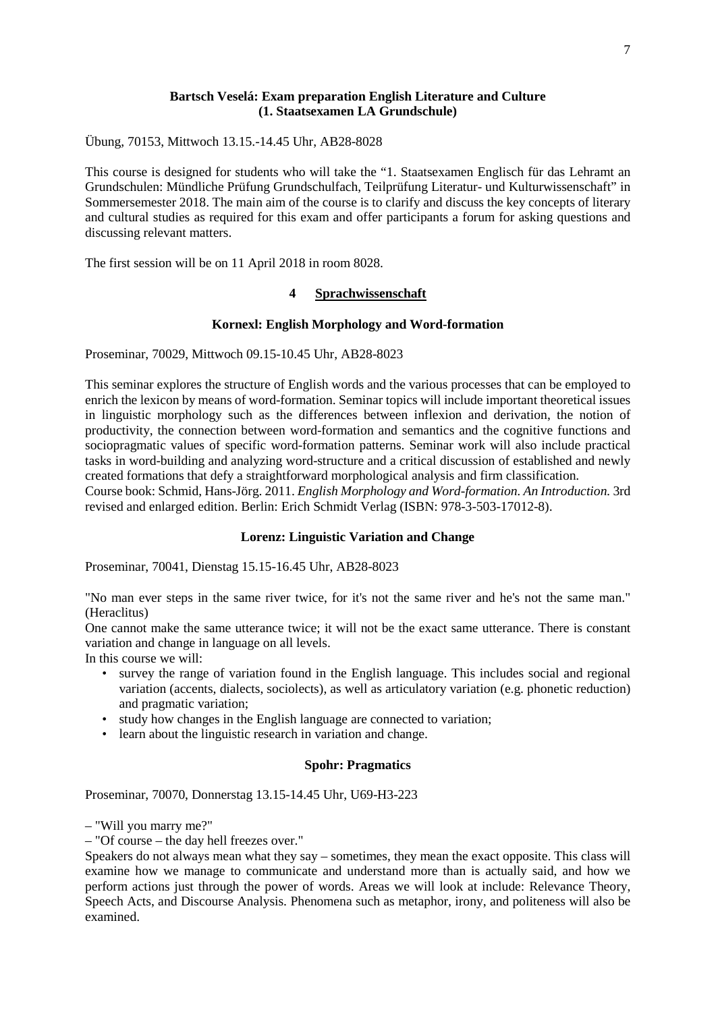#### **Bartsch Veselá: Exam preparation English Literature and Culture (1. Staatsexamen LA Grundschule)**

Übung, 70153, Mittwoch 13.15.-14.45 Uhr, AB28-8028

This course is designed for students who will take the "1. Staatsexamen Englisch für das Lehramt an Grundschulen: Mündliche Prüfung Grundschulfach, Teilprüfung Literatur- und Kulturwissenschaft" in Sommersemester 2018. The main aim of the course is to clarify and discuss the key concepts of literary and cultural studies as required for this exam and offer participants a forum for asking questions and discussing relevant matters.

<span id="page-6-0"></span>The first session will be on 11 April 2018 in room 8028.

#### **4 Sprachwissenschaft**

#### **Kornexl: English Morphology and Word-formation**

Proseminar, 70029, Mittwoch 09.15-10.45 Uhr, AB28-8023

This seminar explores the structure of English words and the various processes that can be employed to enrich the lexicon by means of word-formation. Seminar topics will include important theoretical issues in linguistic morphology such as the differences between inflexion and derivation, the notion of productivity, the connection between word-formation and semantics and the cognitive functions and sociopragmatic values of specific word-formation patterns. Seminar work will also include practical tasks in word-building and analyzing word-structure and a critical discussion of established and newly created formations that defy a straightforward morphological analysis and firm classification.

Course book: Schmid, Hans-Jörg. 2011. *English Morphology and Word-formation. An Introduction.* 3rd revised and enlarged edition. Berlin: Erich Schmidt Verlag (ISBN: 978-3-503-17012-8).

#### **Lorenz: Linguistic Variation and Change**

Proseminar, 70041, Dienstag 15.15-16.45 Uhr, AB28-8023

"No man ever steps in the same river twice, for it's not the same river and he's not the same man." (Heraclitus)

One cannot make the same utterance twice; it will not be the exact same utterance. There is constant variation and change in language on all levels.

In this course we will:

- survey the range of variation found in the English language. This includes social and regional variation (accents, dialects, sociolects), as well as articulatory variation (e.g. phonetic reduction) and pragmatic variation;
- study how changes in the English language are connected to variation;
- learn about the linguistic research in variation and change.

#### **Spohr: Pragmatics**

Proseminar, 70070, Donnerstag 13.15-14.45 Uhr, U69-H3-223

– "Will you marry me?"

– "Of course – the day hell freezes over."

Speakers do not always mean what they say – sometimes, they mean the exact opposite. This class will examine how we manage to communicate and understand more than is actually said, and how we perform actions just through the power of words. Areas we will look at include: Relevance Theory, Speech Acts, and Discourse Analysis. Phenomena such as metaphor, irony, and politeness will also be examined.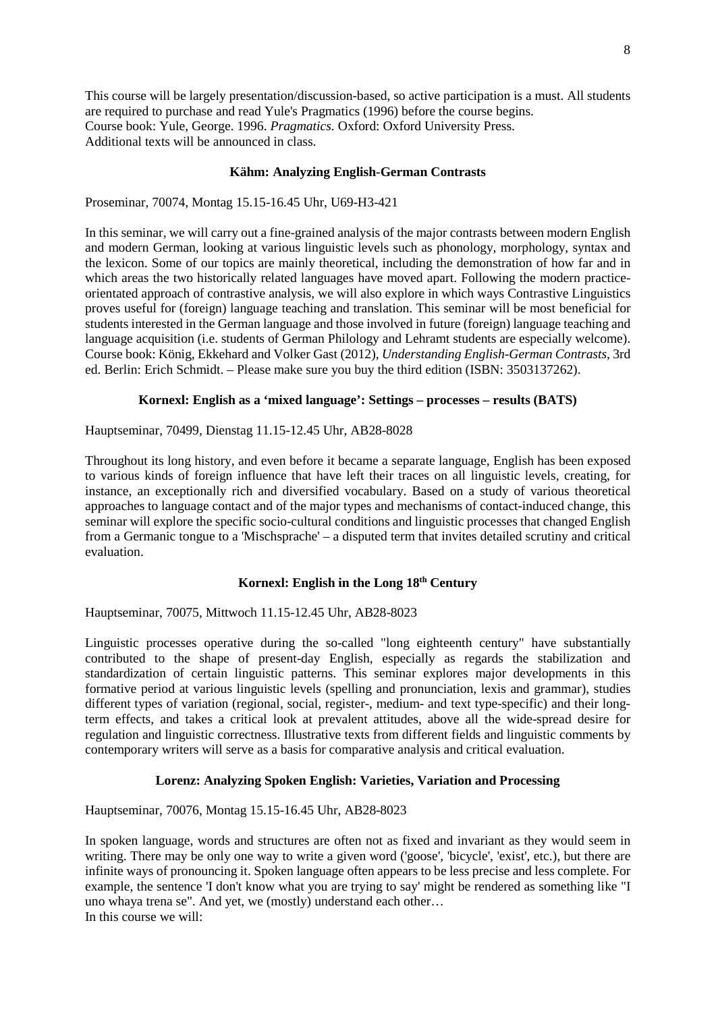This course will be largely presentation/discussion-based, so active participation is a must. All students are required to purchase and read Yule's Pragmatics (1996) before the course begins. Course book: Yule, George. 1996. *Pragmatics.* Oxford: Oxford University Press. Additional texts will be announced in class.

#### **Kähm: Analyzing English-German Contrasts**

Proseminar, 70074, Montag 15.15-16.45 Uhr, U69-H3-421

In this seminar, we will carry out a fine-grained analysis of the major contrasts between modern English and modern German, looking at various linguistic levels such as phonology, morphology, syntax and the lexicon. Some of our topics are mainly theoretical, including the demonstration of how far and in which areas the two historically related languages have moved apart. Following the modern practiceorientated approach of contrastive analysis, we will also explore in which ways Contrastive Linguistics proves useful for (foreign) language teaching and translation. This seminar will be most beneficial for students interested in the German language and those involved in future (foreign) language teaching and language acquisition (i.e. students of German Philology and Lehramt students are especially welcome). Course book: König, Ekkehard and Volker Gast (2012), *Understanding English-German Contrasts*, 3rd ed. Berlin: Erich Schmidt. – Please make sure you buy the third edition (ISBN: 3503137262).

#### **Kornexl: English as a 'mixed language': Settings – processes – results (BATS)**

Hauptseminar, 70499, Dienstag 11.15-12.45 Uhr, AB28-8028

Throughout its long history, and even before it became a separate language, English has been exposed to various kinds of foreign influence that have left their traces on all linguistic levels, creating, for instance, an exceptionally rich and diversified vocabulary. Based on a study of various theoretical approaches to language contact and of the major types and mechanisms of contact-induced change, this seminar will explore the specific socio-cultural conditions and linguistic processes that changed English from a Germanic tongue to a 'Mischsprache' – a disputed term that invites detailed scrutiny and critical evaluation.

## **Kornexl: English in the Long 18th Century**

Hauptseminar, 70075, Mittwoch 11.15-12.45 Uhr, AB28-8023

Linguistic processes operative during the so-called "long eighteenth century" have substantially contributed to the shape of present-day English, especially as regards the stabilization and standardization of certain linguistic patterns. This seminar explores major developments in this formative period at various linguistic levels (spelling and pronunciation, lexis and grammar), studies different types of variation (regional, social, register-, medium- and text type-specific) and their longterm effects, and takes a critical look at prevalent attitudes, above all the wide-spread desire for regulation and linguistic correctness. Illustrative texts from different fields and linguistic comments by contemporary writers will serve as a basis for comparative analysis and critical evaluation.

#### **Lorenz: Analyzing Spoken English: Varieties, Variation and Processing**

Hauptseminar, 70076, Montag 15.15-16.45 Uhr, AB28-8023

In spoken language, words and structures are often not as fixed and invariant as they would seem in writing. There may be only one way to write a given word ('goose', 'bicycle', 'exist', etc.), but there are infinite ways of pronouncing it. Spoken language often appears to be less precise and less complete. For example, the sentence 'I don't know what you are trying to say' might be rendered as something like "I uno whaya trena se". And yet, we (mostly) understand each other… In this course we will: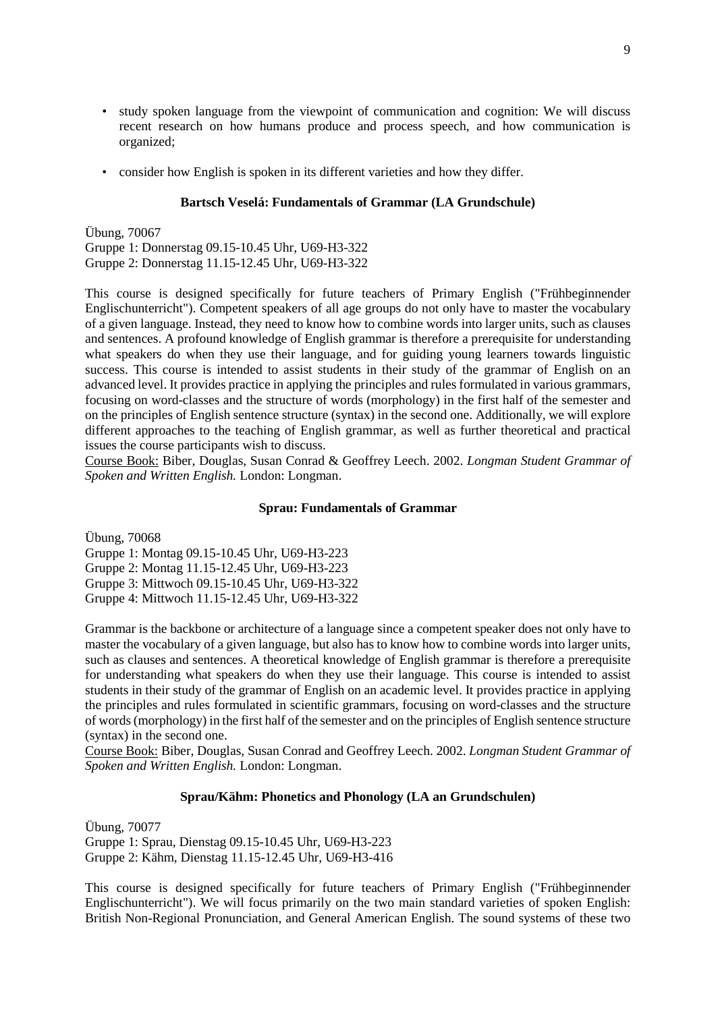- study spoken language from the viewpoint of communication and cognition: We will discuss recent research on how humans produce and process speech, and how communication is organized;
- consider how English is spoken in its different varieties and how they differ.

#### **Bartsch Veselá: Fundamentals of Grammar (LA Grundschule)**

Übung, 70067 Gruppe 1: Donnerstag 09.15-10.45 Uhr, U69-H3-322 Gruppe 2: Donnerstag 11.15-12.45 Uhr, U69-H3-322

This course is designed specifically for future teachers of Primary English ("Frühbeginnender Englischunterricht"). Competent speakers of all age groups do not only have to master the vocabulary of a given language. Instead, they need to know how to combine words into larger units, such as clauses and sentences. A profound knowledge of English grammar is therefore a prerequisite for understanding what speakers do when they use their language, and for guiding young learners towards linguistic success. This course is intended to assist students in their study of the grammar of English on an advanced level. It provides practice in applying the principles and rules formulated in various grammars, focusing on word-classes and the structure of words (morphology) in the first half of the semester and on the principles of English sentence structure (syntax) in the second one. Additionally, we will explore different approaches to the teaching of English grammar, as well as further theoretical and practical issues the course participants wish to discuss.

Course Book: Biber, Douglas, Susan Conrad & Geoffrey Leech. 2002. *Longman Student Grammar of Spoken and Written English.* London: Longman.

#### **Sprau: Fundamentals of Grammar**

Übung, 70068

Gruppe 1: Montag 09.15-10.45 Uhr, U69-H3-223 Gruppe 2: Montag 11.15-12.45 Uhr, U69-H3-223 Gruppe 3: Mittwoch 09.15-10.45 Uhr, U69-H3-322 Gruppe 4: Mittwoch 11.15-12.45 Uhr, U69-H3-322

Grammar is the backbone or architecture of a language since a competent speaker does not only have to master the vocabulary of a given language, but also has to know how to combine words into larger units, such as clauses and sentences. A theoretical knowledge of English grammar is therefore a prerequisite for understanding what speakers do when they use their language. This course is intended to assist students in their study of the grammar of English on an academic level. It provides practice in applying the principles and rules formulated in scientific grammars, focusing on word-classes and the structure of words (morphology) in the first half of the semester and on the principles of English sentence structure (syntax) in the second one.

Course Book: Biber, Douglas, Susan Conrad and Geoffrey Leech. 2002. *Longman Student Grammar of Spoken and Written English.* London: Longman.

#### **Sprau/Kähm: Phonetics and Phonology (LA an Grundschulen)**

Übung, 70077 Gruppe 1: Sprau, Dienstag 09.15-10.45 Uhr, U69-H3-223 Gruppe 2: Kähm, Dienstag 11.15-12.45 Uhr, U69-H3-416

This course is designed specifically for future teachers of Primary English ("Frühbeginnender Englischunterricht"). We will focus primarily on the two main standard varieties of spoken English: British Non-Regional Pronunciation, and General American English. The sound systems of these two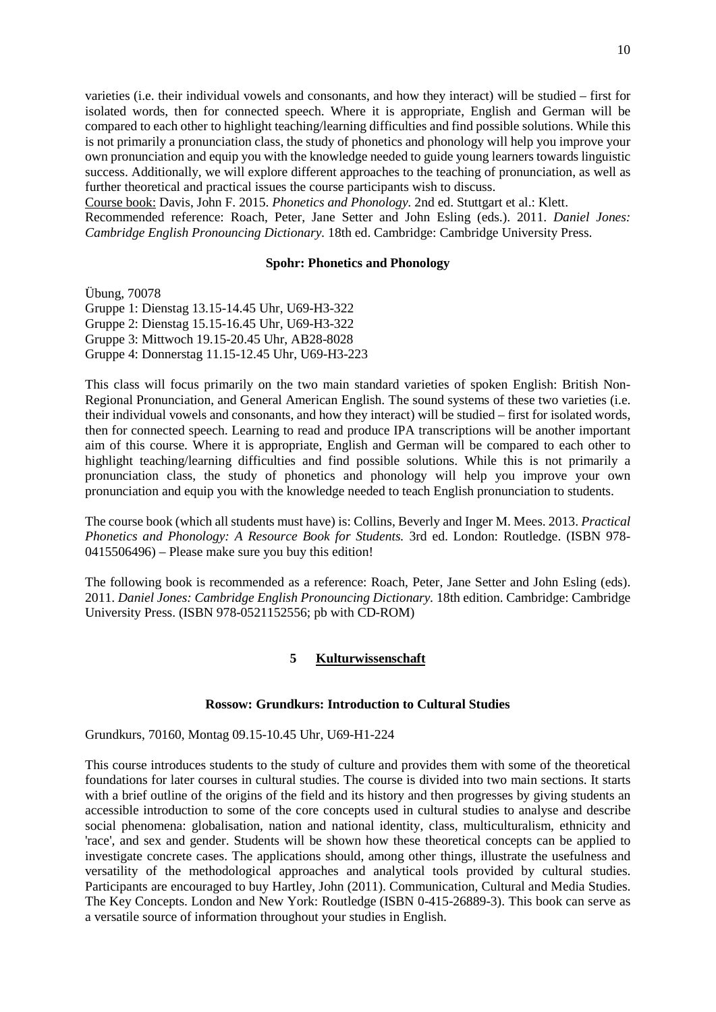varieties (i.e. their individual vowels and consonants, and how they interact) will be studied – first for isolated words, then for connected speech. Where it is appropriate, English and German will be compared to each other to highlight teaching/learning difficulties and find possible solutions. While this is not primarily a pronunciation class, the study of phonetics and phonology will help you improve your own pronunciation and equip you with the knowledge needed to guide young learners towards linguistic success. Additionally, we will explore different approaches to the teaching of pronunciation, as well as further theoretical and practical issues the course participants wish to discuss.

Course book: Davis, John F. 2015. *Phonetics and Phonology.* 2nd ed. Stuttgart et al.: Klett.

Recommended reference: Roach, Peter, Jane Setter and John Esling (eds.). 2011. *Daniel Jones: Cambridge English Pronouncing Dictionary.* 18th ed. Cambridge: Cambridge University Press.

#### **Spohr: Phonetics and Phonology**

Übung, 70078 Gruppe 1: Dienstag 13.15-14.45 Uhr, U69-H3-322 Gruppe 2: Dienstag 15.15-16.45 Uhr, U69-H3-322 Gruppe 3: Mittwoch 19.15-20.45 Uhr, AB28-8028 Gruppe 4: Donnerstag 11.15-12.45 Uhr, U69-H3-223

This class will focus primarily on the two main standard varieties of spoken English: British Non-Regional Pronunciation, and General American English. The sound systems of these two varieties (i.e. their individual vowels and consonants, and how they interact) will be studied – first for isolated words, then for connected speech. Learning to read and produce IPA transcriptions will be another important aim of this course. Where it is appropriate, English and German will be compared to each other to highlight teaching/learning difficulties and find possible solutions. While this is not primarily a pronunciation class, the study of phonetics and phonology will help you improve your own pronunciation and equip you with the knowledge needed to teach English pronunciation to students.

The course book (which all students must have) is: Collins, Beverly and Inger M. Mees. 2013. *Practical Phonetics and Phonology: A Resource Book for Students.* 3rd ed. London: Routledge. (ISBN 978- 0415506496) – Please make sure you buy this edition!

<span id="page-9-0"></span>The following book is recommended as a reference: Roach, Peter, Jane Setter and John Esling (eds). 2011. *Daniel Jones: Cambridge English Pronouncing Dictionary.* 18th edition. Cambridge: Cambridge University Press. (ISBN 978-0521152556; pb with CD-ROM)

#### **5 Kulturwissenschaft**

#### **Rossow: Grundkurs: Introduction to Cultural Studies**

Grundkurs, 70160, Montag 09.15-10.45 Uhr, U69-H1-224

This course introduces students to the study of culture and provides them with some of the theoretical foundations for later courses in cultural studies. The course is divided into two main sections. It starts with a brief outline of the origins of the field and its history and then progresses by giving students an accessible introduction to some of the core concepts used in cultural studies to analyse and describe social phenomena: globalisation, nation and national identity, class, multiculturalism, ethnicity and 'race', and sex and gender. Students will be shown how these theoretical concepts can be applied to investigate concrete cases. The applications should, among other things, illustrate the usefulness and versatility of the methodological approaches and analytical tools provided by cultural studies. Participants are encouraged to buy Hartley, John (2011). Communication, Cultural and Media Studies. The Key Concepts. London and New York: Routledge (ISBN 0-415-26889-3). This book can serve as a versatile source of information throughout your studies in English.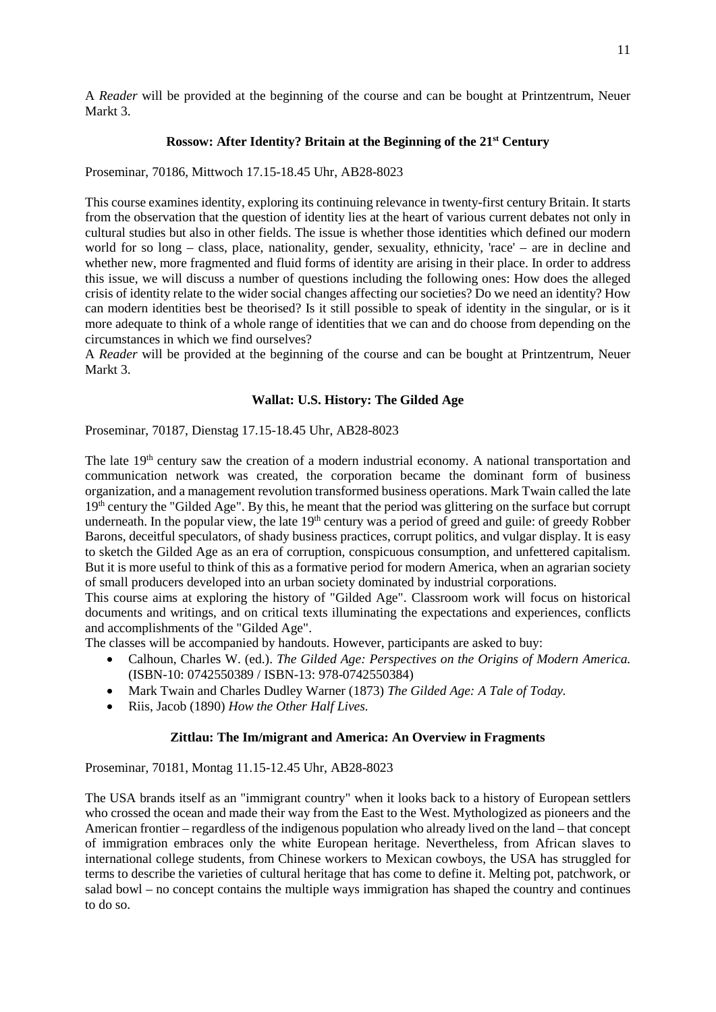A *Reader* will be provided at the beginning of the course and can be bought at Printzentrum, Neuer Markt 3.

#### **Rossow: After Identity? Britain at the Beginning of the 21st Century**

Proseminar, 70186, Mittwoch 17.15-18.45 Uhr, AB28-8023

This course examines identity, exploring its continuing relevance in twenty-first century Britain. It starts from the observation that the question of identity lies at the heart of various current debates not only in cultural studies but also in other fields. The issue is whether those identities which defined our modern world for so long – class, place, nationality, gender, sexuality, ethnicity, 'race' – are in decline and whether new, more fragmented and fluid forms of identity are arising in their place. In order to address this issue, we will discuss a number of questions including the following ones: How does the alleged crisis of identity relate to the wider social changes affecting our societies? Do we need an identity? How can modern identities best be theorised? Is it still possible to speak of identity in the singular, or is it more adequate to think of a whole range of identities that we can and do choose from depending on the circumstances in which we find ourselves?

A *Reader* will be provided at the beginning of the course and can be bought at Printzentrum, Neuer Markt 3.

#### **Wallat: U.S. History: The Gilded Age**

Proseminar, 70187, Dienstag 17.15-18.45 Uhr, AB28-8023

The late 19<sup>th</sup> century saw the creation of a modern industrial economy. A national transportation and communication network was created, the corporation became the dominant form of business organization, and a management revolution transformed business operations. Mark Twain called the late 19<sup>th</sup> century the "Gilded Age". By this, he meant that the period was glittering on the surface but corrupt underneath. In the popular view, the late  $19<sup>th</sup>$  century was a period of greed and guile: of greedy Robber Barons, deceitful speculators, of shady business practices, corrupt politics, and vulgar display. It is easy to sketch the Gilded Age as an era of corruption, conspicuous consumption, and unfettered capitalism. But it is more useful to think of this as a formative period for modern America, when an agrarian society of small producers developed into an urban society dominated by industrial corporations.

This course aims at exploring the history of "Gilded Age". Classroom work will focus on historical documents and writings, and on critical texts illuminating the expectations and experiences, conflicts and accomplishments of the "Gilded Age".

The classes will be accompanied by handouts. However, participants are asked to buy:

- Calhoun, Charles W. (ed.). *The Gilded Age: Perspectives on the Origins of Modern America.* (ISBN-10: 0742550389 / ISBN-13: 978-0742550384)
- Mark Twain and Charles Dudley Warner (1873) *The Gilded Age: A Tale of Today.*
- Riis, Jacob (1890) *How the Other Half Lives.*

#### **Zittlau: The Im/migrant and America: An Overview in Fragments**

Proseminar, 70181, Montag 11.15-12.45 Uhr, AB28-8023

The USA brands itself as an "immigrant country" when it looks back to a history of European settlers who crossed the ocean and made their way from the East to the West. Mythologized as pioneers and the American frontier – regardless of the indigenous population who already lived on the land – that concept of immigration embraces only the white European heritage. Nevertheless, from African slaves to international college students, from Chinese workers to Mexican cowboys, the USA has struggled for terms to describe the varieties of cultural heritage that has come to define it. Melting pot, patchwork, or salad bowl – no concept contains the multiple ways immigration has shaped the country and continues to do so.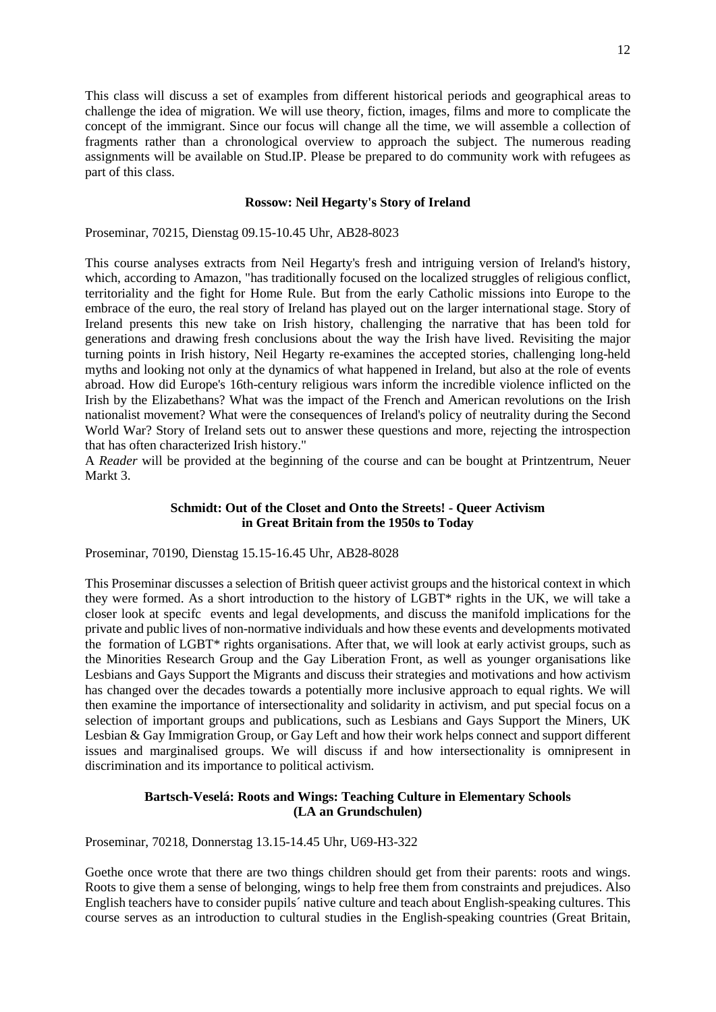This class will discuss a set of examples from different historical periods and geographical areas to challenge the idea of migration. We will use theory, fiction, images, films and more to complicate the concept of the immigrant. Since our focus will change all the time, we will assemble a collection of fragments rather than a chronological overview to approach the subject. The numerous reading assignments will be available on Stud.IP. Please be prepared to do community work with refugees as part of this class.

#### **Rossow: Neil Hegarty's Story of Ireland**

Proseminar, 70215, Dienstag 09.15-10.45 Uhr, AB28-8023

This course analyses extracts from Neil Hegarty's fresh and intriguing version of Ireland's history, which, according to Amazon, "has traditionally focused on the localized struggles of religious conflict, territoriality and the fight for Home Rule. But from the early Catholic missions into Europe to the embrace of the euro, the real story of Ireland has played out on the larger international stage. Story of Ireland presents this new take on Irish history, challenging the narrative that has been told for generations and drawing fresh conclusions about the way the Irish have lived. Revisiting the major turning points in Irish history, Neil Hegarty re-examines the accepted stories, challenging long-held myths and looking not only at the dynamics of what happened in Ireland, but also at the role of events abroad. How did Europe's 16th-century religious wars inform the incredible violence inflicted on the Irish by the Elizabethans? What was the impact of the French and American revolutions on the Irish nationalist movement? What were the consequences of Ireland's policy of neutrality during the Second World War? Story of Ireland sets out to answer these questions and more, rejecting the introspection that has often characterized Irish history."

A *Reader* will be provided at the beginning of the course and can be bought at Printzentrum, Neuer Markt 3.

#### **Schmidt: Out of the Closet and Onto the Streets! - Queer Activism in Great Britain from the 1950s to Today**

Proseminar, 70190, Dienstag 15.15-16.45 Uhr, AB28-8028

This Proseminar discusses a selection of British queer activist groups and the historical context in which they were formed. As a short introduction to the history of LGBT\* rights in the UK, we will take a closer look at specifc events and legal developments, and discuss the manifold implications for the private and public lives of non-normative individuals and how these events and developments motivated the formation of LGBT\* rights organisations. After that, we will look at early activist groups, such as the Minorities Research Group and the Gay Liberation Front, as well as younger organisations like Lesbians and Gays Support the Migrants and discuss their strategies and motivations and how activism has changed over the decades towards a potentially more inclusive approach to equal rights. We will then examine the importance of intersectionality and solidarity in activism, and put special focus on a selection of important groups and publications, such as Lesbians and Gays Support the Miners, UK Lesbian & Gay Immigration Group, or Gay Left and how their work helps connect and support different issues and marginalised groups. We will discuss if and how intersectionality is omnipresent in discrimination and its importance to political activism.

### **Bartsch-Veselá: Roots and Wings: Teaching Culture in Elementary Schools (LA an Grundschulen)**

Proseminar, 70218, Donnerstag 13.15-14.45 Uhr, U69-H3-322

Goethe once wrote that there are two things children should get from their parents: roots and wings. Roots to give them a sense of belonging, wings to help free them from constraints and prejudices. Also English teachers have to consider pupils´ native culture and teach about English-speaking cultures. This course serves as an introduction to cultural studies in the English-speaking countries (Great Britain,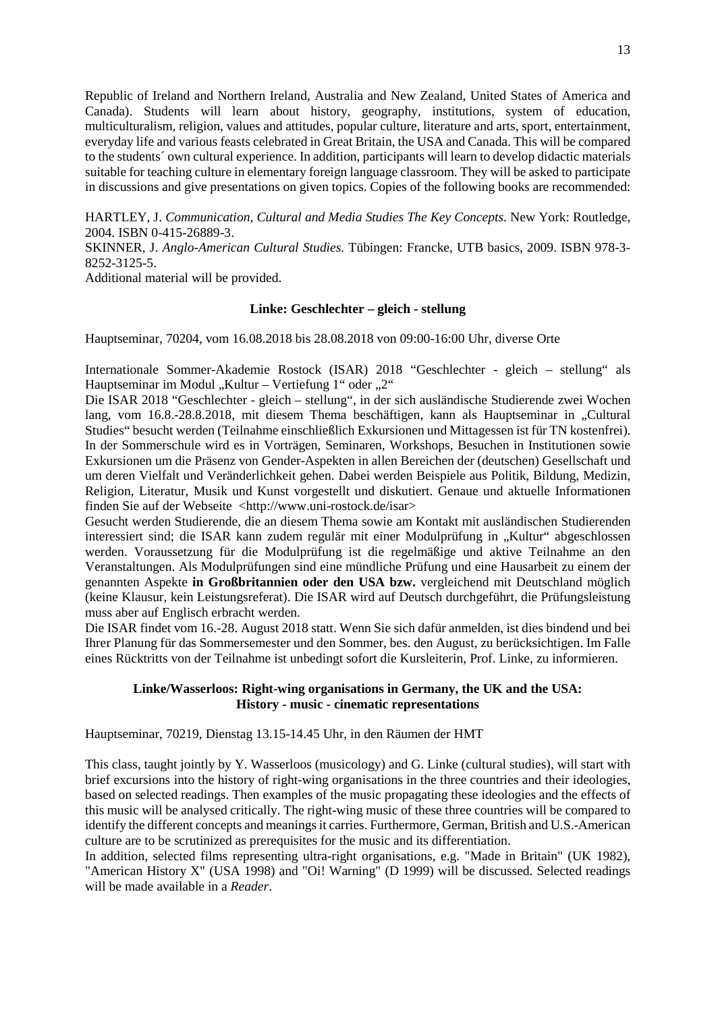Republic of Ireland and Northern Ireland, Australia and New Zealand, United States of America and Canada). Students will learn about history, geography, institutions, system of education, multiculturalism, religion, values and attitudes, popular culture, literature and arts, sport, entertainment, everyday life and various feasts celebrated in Great Britain, the USA and Canada. This will be compared to the students´ own cultural experience. In addition, participants will learn to develop didactic materials suitable for teaching culture in elementary foreign language classroom. They will be asked to participate in discussions and give presentations on given topics. Copies of the following books are recommended:

HARTLEY, J. *Communication, Cultural and Media Studies The Key Concepts.* New York: Routledge, 2004. ISBN 0-415-26889-3.

SKINNER, J. *Anglo-American Cultural Studies.* Tübingen: Francke, UTB basics, 2009. ISBN 978-3- 8252-3125-5.

Additional material will be provided.

#### **Linke: Geschlechter – gleich - stellung**

Hauptseminar, 70204, vom 16.08.2018 bis 28.08.2018 von 09:00-16:00 Uhr, diverse Orte

Internationale Sommer-Akademie Rostock (ISAR) 2018 "Geschlechter - gleich – stellung" als Hauptseminar im Modul "Kultur – Vertiefung 1" oder "2"

Die ISAR 2018 "Geschlechter - gleich – stellung", in der sich ausländische Studierende zwei Wochen lang, vom 16.8.-28.8.2018, mit diesem Thema beschäftigen, kann als Hauptseminar in "Cultural Studies" besucht werden (Teilnahme einschließlich Exkursionen und Mittagessen ist für TN kostenfrei). In der Sommerschule wird es in Vorträgen, Seminaren, Workshops, Besuchen in Institutionen sowie Exkursionen um die Präsenz von Gender-Aspekten in allen Bereichen der (deutschen) Gesellschaft und um deren Vielfalt und Veränderlichkeit gehen. Dabei werden Beispiele aus Politik, Bildung, Medizin, Religion, Literatur, Musik und Kunst vorgestellt und diskutiert. Genaue und aktuelle Informationen finden Sie auf der Webseite <http://www.uni-rostock.de/isar>

Gesucht werden Studierende, die an diesem Thema sowie am Kontakt mit ausländischen Studierenden interessiert sind; die ISAR kann zudem regulär mit einer Modulprüfung in "Kultur" abgeschlossen werden. Voraussetzung für die Modulprüfung ist die regelmäßige und aktive Teilnahme an den Veranstaltungen. Als Modulprüfungen sind eine mündliche Prüfung und eine Hausarbeit zu einem der genannten Aspekte **in Großbritannien oder den USA bzw.** vergleichend mit Deutschland möglich (keine Klausur, kein Leistungsreferat). Die ISAR wird auf Deutsch durchgeführt, die Prüfungsleistung muss aber auf Englisch erbracht werden.

Die ISAR findet vom 16.-28. August 2018 statt. Wenn Sie sich dafür anmelden, ist dies bindend und bei Ihrer Planung für das Sommersemester und den Sommer, bes. den August, zu berücksichtigen. Im Falle eines Rücktritts von der Teilnahme ist unbedingt sofort die Kursleiterin, Prof. Linke, zu informieren.

#### **Linke/Wasserloos: Right-wing organisations in Germany, the UK and the USA: History - music - cinematic representations**

Hauptseminar, 70219, Dienstag 13.15-14.45 Uhr, in den Räumen der HMT

This class, taught jointly by Y. Wasserloos (musicology) and G. Linke (cultural studies), will start with brief excursions into the history of right-wing organisations in the three countries and their ideologies, based on selected readings. Then examples of the music propagating these ideologies and the effects of this music will be analysed critically. The right-wing music of these three countries will be compared to identify the different concepts and meanings it carries. Furthermore, German, British and U.S.-American culture are to be scrutinized as prerequisites for the music and its differentiation.

In addition, selected films representing ultra-right organisations, e.g. "Made in Britain" (UK 1982), "American History X" (USA 1998) and "Oi! Warning" (D 1999) will be discussed. Selected readings will be made available in a *Reader*.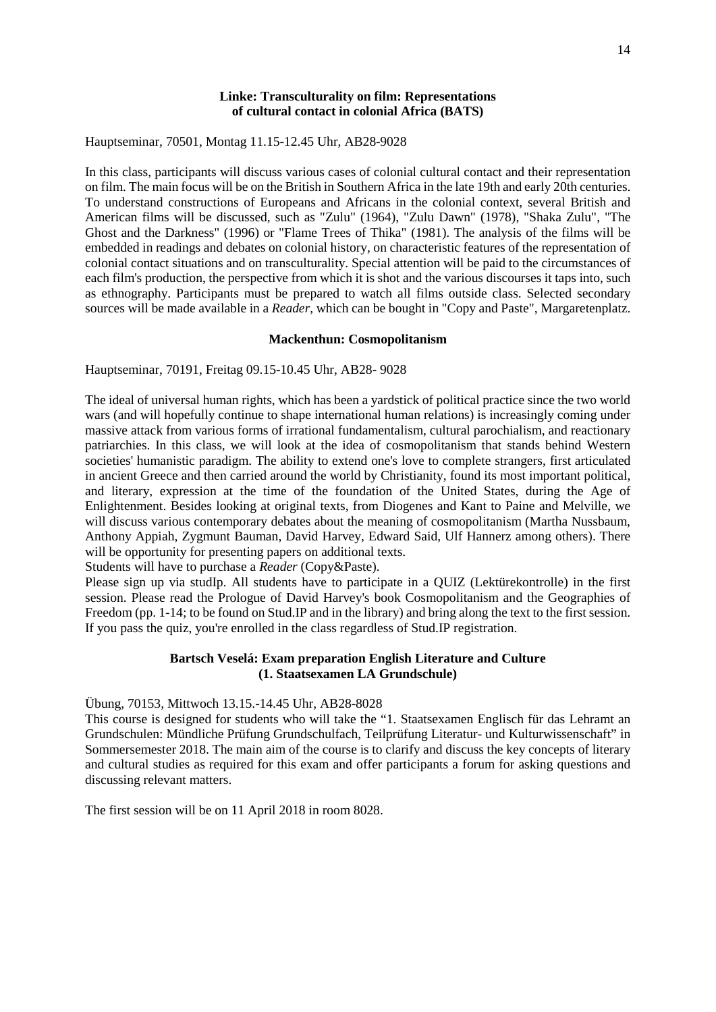#### **Linke: Transculturality on film: Representations of cultural contact in colonial Africa (BATS)**

Hauptseminar, 70501, Montag 11.15-12.45 Uhr, AB28-9028

In this class, participants will discuss various cases of colonial cultural contact and their representation on film. The main focus will be on the British in Southern Africa in the late 19th and early 20th centuries. To understand constructions of Europeans and Africans in the colonial context, several British and American films will be discussed, such as "Zulu" (1964), "Zulu Dawn" (1978), "Shaka Zulu", "The Ghost and the Darkness" (1996) or "Flame Trees of Thika" (1981). The analysis of the films will be embedded in readings and debates on colonial history, on characteristic features of the representation of colonial contact situations and on transculturality. Special attention will be paid to the circumstances of each film's production, the perspective from which it is shot and the various discourses it taps into, such as ethnography. Participants must be prepared to watch all films outside class. Selected secondary sources will be made available in a *Reader*, which can be bought in "Copy and Paste", Margaretenplatz.

#### **Mackenthun: Cosmopolitanism**

Hauptseminar, 70191, Freitag 09.15-10.45 Uhr, AB28- 9028

The ideal of universal human rights, which has been a yardstick of political practice since the two world wars (and will hopefully continue to shape international human relations) is increasingly coming under massive attack from various forms of irrational fundamentalism, cultural parochialism, and reactionary patriarchies. In this class, we will look at the idea of cosmopolitanism that stands behind Western societies' humanistic paradigm. The ability to extend one's love to complete strangers, first articulated in ancient Greece and then carried around the world by Christianity, found its most important political, and literary, expression at the time of the foundation of the United States, during the Age of Enlightenment. Besides looking at original texts, from Diogenes and Kant to Paine and Melville, we will discuss various contemporary debates about the meaning of cosmopolitanism (Martha Nussbaum, Anthony Appiah, Zygmunt Bauman, David Harvey, Edward Said, Ulf Hannerz among others). There will be opportunity for presenting papers on additional texts.

Students will have to purchase a *Reader* (Copy&Paste).

Please sign up via studIp. All students have to participate in a QUIZ (Lektürekontrolle) in the first session. Please read the Prologue of David Harvey's book Cosmopolitanism and the Geographies of Freedom (pp. 1-14; to be found on Stud.IP and in the library) and bring along the text to the first session. If you pass the quiz, you're enrolled in the class regardless of Stud.IP registration.

### **Bartsch Veselá: Exam preparation English Literature and Culture (1. Staatsexamen LA Grundschule)**

Übung, 70153, Mittwoch 13.15.-14.45 Uhr, AB28-8028

This course is designed for students who will take the "1. Staatsexamen Englisch für das Lehramt an Grundschulen: Mündliche Prüfung Grundschulfach, Teilprüfung Literatur- und Kulturwissenschaft" in Sommersemester 2018. The main aim of the course is to clarify and discuss the key concepts of literary and cultural studies as required for this exam and offer participants a forum for asking questions and discussing relevant matters.

<span id="page-13-0"></span>The first session will be on 11 April 2018 in room 8028.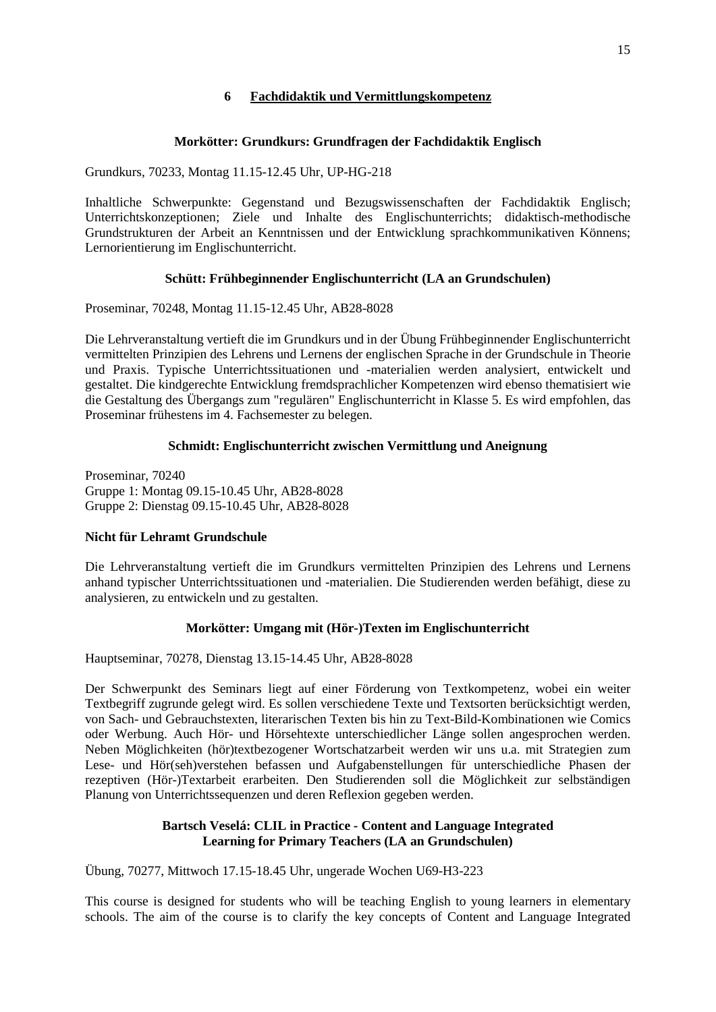# **6 Fachdidaktik und Vermittlungskompetenz**

# **Morkötter: Grundkurs: Grundfragen der Fachdidaktik Englisch**

Grundkurs, 70233, Montag 11.15-12.45 Uhr, UP-HG-218

Inhaltliche Schwerpunkte: Gegenstand und Bezugswissenschaften der Fachdidaktik Englisch; Unterrichtskonzeptionen; Ziele und Inhalte des Englischunterrichts; didaktisch-methodische Grundstrukturen der Arbeit an Kenntnissen und der Entwicklung sprachkommunikativen Könnens; Lernorientierung im Englischunterricht.

# **Schütt: Frühbeginnender Englischunterricht (LA an Grundschulen)**

Proseminar, 70248, Montag 11.15-12.45 Uhr, AB28-8028

Die Lehrveranstaltung vertieft die im Grundkurs und in der Übung Frühbeginnender Englischunterricht vermittelten Prinzipien des Lehrens und Lernens der englischen Sprache in der Grundschule in Theorie und Praxis. Typische Unterrichtssituationen und -materialien werden analysiert, entwickelt und gestaltet. Die kindgerechte Entwicklung fremdsprachlicher Kompetenzen wird ebenso thematisiert wie die Gestaltung des Übergangs zum "regulären" Englischunterricht in Klasse 5. Es wird empfohlen, das Proseminar frühestens im 4. Fachsemester zu belegen.

# **Schmidt: Englischunterricht zwischen Vermittlung und Aneignung**

Proseminar, 70240 Gruppe 1: Montag 09.15-10.45 Uhr, AB28-8028 Gruppe 2: Dienstag 09.15-10.45 Uhr, AB28-8028

# **Nicht für Lehramt Grundschule**

Die Lehrveranstaltung vertieft die im Grundkurs vermittelten Prinzipien des Lehrens und Lernens anhand typischer Unterrichtssituationen und -materialien. Die Studierenden werden befähigt, diese zu analysieren, zu entwickeln und zu gestalten.

# **Morkötter: Umgang mit (Hör-)Texten im Englischunterricht**

Hauptseminar, 70278, Dienstag 13.15-14.45 Uhr, AB28-8028

Der Schwerpunkt des Seminars liegt auf einer Förderung von Textkompetenz, wobei ein weiter Textbegriff zugrunde gelegt wird. Es sollen verschiedene Texte und Textsorten berücksichtigt werden, von Sach- und Gebrauchstexten, literarischen Texten bis hin zu Text-Bild-Kombinationen wie Comics oder Werbung. Auch Hör- und Hörsehtexte unterschiedlicher Länge sollen angesprochen werden. Neben Möglichkeiten (hör)textbezogener Wortschatzarbeit werden wir uns u.a. mit Strategien zum Lese- und Hör(seh)verstehen befassen und Aufgabenstellungen für unterschiedliche Phasen der rezeptiven (Hör-)Textarbeit erarbeiten. Den Studierenden soll die Möglichkeit zur selbständigen Planung von Unterrichtssequenzen und deren Reflexion gegeben werden.

# **Bartsch Veselá: CLIL in Practice - Content and Language Integrated Learning for Primary Teachers (LA an Grundschulen)**

Übung, 70277, Mittwoch 17.15-18.45 Uhr, ungerade Wochen U69-H3-223

This course is designed for students who will be teaching English to young learners in elementary schools. The aim of the course is to clarify the key concepts of Content and Language Integrated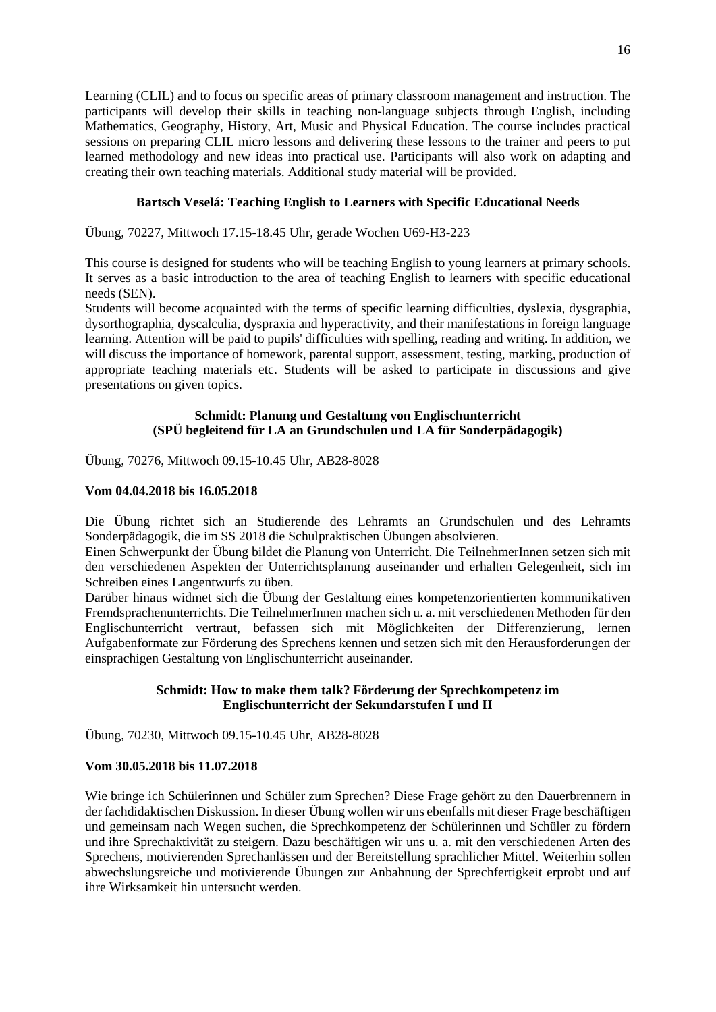16

Learning (CLIL) and to focus on specific areas of primary classroom management and instruction. The participants will develop their skills in teaching non-language subjects through English, including Mathematics, Geography, History, Art, Music and Physical Education. The course includes practical sessions on preparing CLIL micro lessons and delivering these lessons to the trainer and peers to put learned methodology and new ideas into practical use. Participants will also work on adapting and creating their own teaching materials. Additional study material will be provided.

# **Bartsch Veselá: Teaching English to Learners with Specific Educational Needs**

Übung, 70227, Mittwoch 17.15-18.45 Uhr, gerade Wochen U69-H3-223

This course is designed for students who will be teaching English to young learners at primary schools. It serves as a basic introduction to the area of teaching English to learners with specific educational needs (SEN).

Students will become acquainted with the terms of specific learning difficulties, dyslexia, dysgraphia, dysorthographia, dyscalculia, dyspraxia and hyperactivity, and their manifestations in foreign language learning. Attention will be paid to pupils' difficulties with spelling, reading and writing. In addition, we will discuss the importance of homework, parental support, assessment, testing, marking, production of appropriate teaching materials etc. Students will be asked to participate in discussions and give presentations on given topics.

### **Schmidt: Planung und Gestaltung von Englischunterricht (SPÜ begleitend für LA an Grundschulen und LA für Sonderpädagogik)**

Übung, 70276, Mittwoch 09.15-10.45 Uhr, AB28-8028

## **Vom 04.04.2018 bis 16.05.2018**

Die Übung richtet sich an Studierende des Lehramts an Grundschulen und des Lehramts Sonderpädagogik, die im SS 2018 die Schulpraktischen Übungen absolvieren.

Einen Schwerpunkt der Übung bildet die Planung von Unterricht. Die TeilnehmerInnen setzen sich mit den verschiedenen Aspekten der Unterrichtsplanung auseinander und erhalten Gelegenheit, sich im Schreiben eines Langentwurfs zu üben.

Darüber hinaus widmet sich die Übung der Gestaltung eines kompetenzorientierten kommunikativen Fremdsprachenunterrichts. Die TeilnehmerInnen machen sich u. a. mit verschiedenen Methoden für den Englischunterricht vertraut, befassen sich mit Möglichkeiten der Differenzierung, lernen Aufgabenformate zur Förderung des Sprechens kennen und setzen sich mit den Herausforderungen der einsprachigen Gestaltung von Englischunterricht auseinander.

## **Schmidt: How to make them talk? Förderung der Sprechkompetenz im Englischunterricht der Sekundarstufen I und II**

Übung, 70230, Mittwoch 09.15-10.45 Uhr, AB28-8028

#### **Vom 30.05.2018 bis 11.07.2018**

Wie bringe ich Schülerinnen und Schüler zum Sprechen? Diese Frage gehört zu den Dauerbrennern in der fachdidaktischen Diskussion. In dieser Übung wollen wir uns ebenfalls mit dieser Frage beschäftigen und gemeinsam nach Wegen suchen, die Sprechkompetenz der Schülerinnen und Schüler zu fördern und ihre Sprechaktivität zu steigern. Dazu beschäftigen wir uns u. a. mit den verschiedenen Arten des Sprechens, motivierenden Sprechanlässen und der Bereitstellung sprachlicher Mittel. Weiterhin sollen abwechslungsreiche und motivierende Übungen zur Anbahnung der Sprechfertigkeit erprobt und auf ihre Wirksamkeit hin untersucht werden.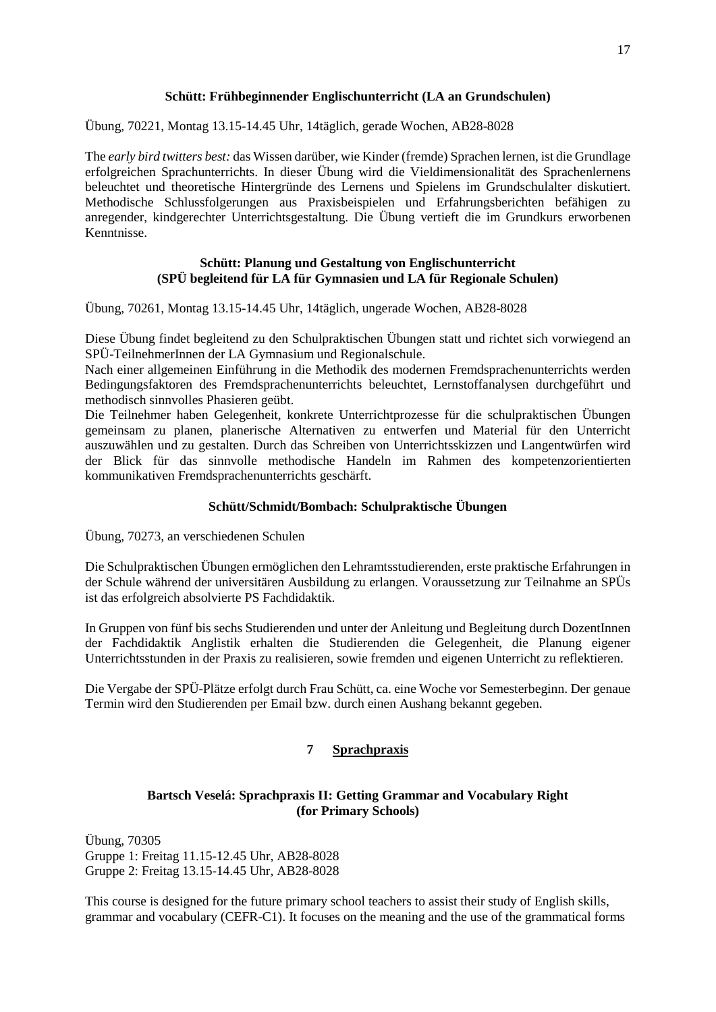### **Schütt: Frühbeginnender Englischunterricht (LA an Grundschulen)**

Übung, 70221, Montag 13.15-14.45 Uhr, 14täglich, gerade Wochen, AB28-8028

The *early bird twitters best:* das Wissen darüber, wie Kinder (fremde) Sprachen lernen, ist die Grundlage erfolgreichen Sprachunterrichts. In dieser Übung wird die Vieldimensionalität des Sprachenlernens beleuchtet und theoretische Hintergründe des Lernens und Spielens im Grundschulalter diskutiert. Methodische Schlussfolgerungen aus Praxisbeispielen und Erfahrungsberichten befähigen zu anregender, kindgerechter Unterrichtsgestaltung. Die Übung vertieft die im Grundkurs erworbenen Kenntnisse.

## **Schütt: Planung und Gestaltung von Englischunterricht (SPÜ begleitend für LA für Gymnasien und LA für Regionale Schulen)**

Übung, 70261, Montag 13.15-14.45 Uhr, 14täglich, ungerade Wochen, AB28-8028

Diese Übung findet begleitend zu den Schulpraktischen Übungen statt und richtet sich vorwiegend an SPÜ-TeilnehmerInnen der LA Gymnasium und Regionalschule.

Nach einer allgemeinen Einführung in die Methodik des modernen Fremdsprachenunterrichts werden Bedingungsfaktoren des Fremdsprachenunterrichts beleuchtet, Lernstoffanalysen durchgeführt und methodisch sinnvolles Phasieren geübt.

Die Teilnehmer haben Gelegenheit, konkrete Unterrichtprozesse für die schulpraktischen Übungen gemeinsam zu planen, planerische Alternativen zu entwerfen und Material für den Unterricht auszuwählen und zu gestalten. Durch das Schreiben von Unterrichtsskizzen und Langentwürfen wird der Blick für das sinnvolle methodische Handeln im Rahmen des kompetenzorientierten kommunikativen Fremdsprachenunterrichts geschärft.

#### **Schütt/Schmidt/Bombach: Schulpraktische Übungen**

Übung, 70273, an verschiedenen Schulen

Die Schulpraktischen Übungen ermöglichen den Lehramtsstudierenden, erste praktische Erfahrungen in der Schule während der universitären Ausbildung zu erlangen. Voraussetzung zur Teilnahme an SPÜs ist das erfolgreich absolvierte PS Fachdidaktik.

In Gruppen von fünf bis sechs Studierenden und unter der Anleitung und Begleitung durch DozentInnen der Fachdidaktik Anglistik erhalten die Studierenden die Gelegenheit, die Planung eigener Unterrichtsstunden in der Praxis zu realisieren, sowie fremden und eigenen Unterricht zu reflektieren.

<span id="page-16-0"></span>Die Vergabe der SPÜ-Plätze erfolgt durch Frau Schütt, ca. eine Woche vor Semesterbeginn. Der genaue Termin wird den Studierenden per Email bzw. durch einen Aushang bekannt gegeben.

# **7 Sprachpraxis**

# **Bartsch Veselá: Sprachpraxis II: Getting Grammar and Vocabulary Right (for Primary Schools)**

Übung, 70305 Gruppe 1: Freitag 11.15-12.45 Uhr, AB28-8028 Gruppe 2: Freitag 13.15-14.45 Uhr, AB28-8028

This course is designed for the future primary school teachers to assist their study of English skills, grammar and vocabulary (CEFR-C1). It focuses on the meaning and the use of the grammatical forms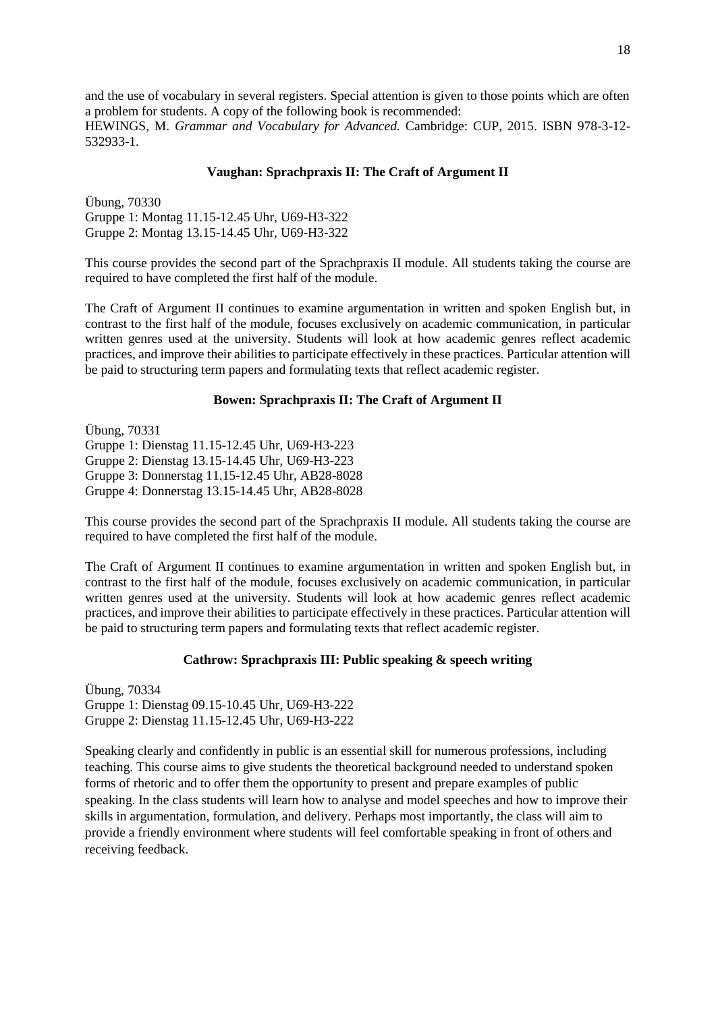and the use of vocabulary in several registers. Special attention is given to those points which are often a problem for students. A copy of the following book is recommended: HEWINGS, M. *Grammar and Vocabulary for Advanced.* Cambridge: CUP, 2015. ISBN 978-3-12- 532933-1.

#### **Vaughan: Sprachpraxis II: The Craft of Argument II**

Übung, 70330 Gruppe 1: Montag 11.15-12.45 Uhr, U69-H3-322 Gruppe 2: Montag 13.15-14.45 Uhr, U69-H3-322

This course provides the second part of the Sprachpraxis II module. All students taking the course are required to have completed the first half of the module.

The Craft of Argument II continues to examine argumentation in written and spoken English but, in contrast to the first half of the module, focuses exclusively on academic communication, in particular written genres used at the university. Students will look at how academic genres reflect academic practices, and improve their abilities to participate effectively in these practices. Particular attention will be paid to structuring term papers and formulating texts that reflect academic register.

#### **Bowen: Sprachpraxis II: The Craft of Argument II**

Übung, 70331 Gruppe 1: Dienstag 11.15-12.45 Uhr, U69-H3-223 Gruppe 2: Dienstag 13.15-14.45 Uhr, U69-H3-223 Gruppe 3: Donnerstag 11.15-12.45 Uhr, AB28-8028 Gruppe 4: Donnerstag 13.15-14.45 Uhr, AB28-8028

This course provides the second part of the Sprachpraxis II module. All students taking the course are required to have completed the first half of the module.

The Craft of Argument II continues to examine argumentation in written and spoken English but, in contrast to the first half of the module, focuses exclusively on academic communication, in particular written genres used at the university. Students will look at how academic genres reflect academic practices, and improve their abilities to participate effectively in these practices. Particular attention will be paid to structuring term papers and formulating texts that reflect academic register.

#### **Cathrow: Sprachpraxis III: Public speaking & speech writing**

Übung, 70334 Gruppe 1: Dienstag 09.15-10.45 Uhr, U69-H3-222 Gruppe 2: Dienstag 11.15-12.45 Uhr, U69-H3-222

Speaking clearly and confidently in public is an essential skill for numerous professions, including teaching. This course aims to give students the theoretical background needed to understand spoken forms of rhetoric and to offer them the opportunity to present and prepare examples of public speaking. In the class students will learn how to analyse and model speeches and how to improve their skills in argumentation, formulation, and delivery. Perhaps most importantly, the class will aim to provide a friendly environment where students will feel comfortable speaking in front of others and receiving feedback.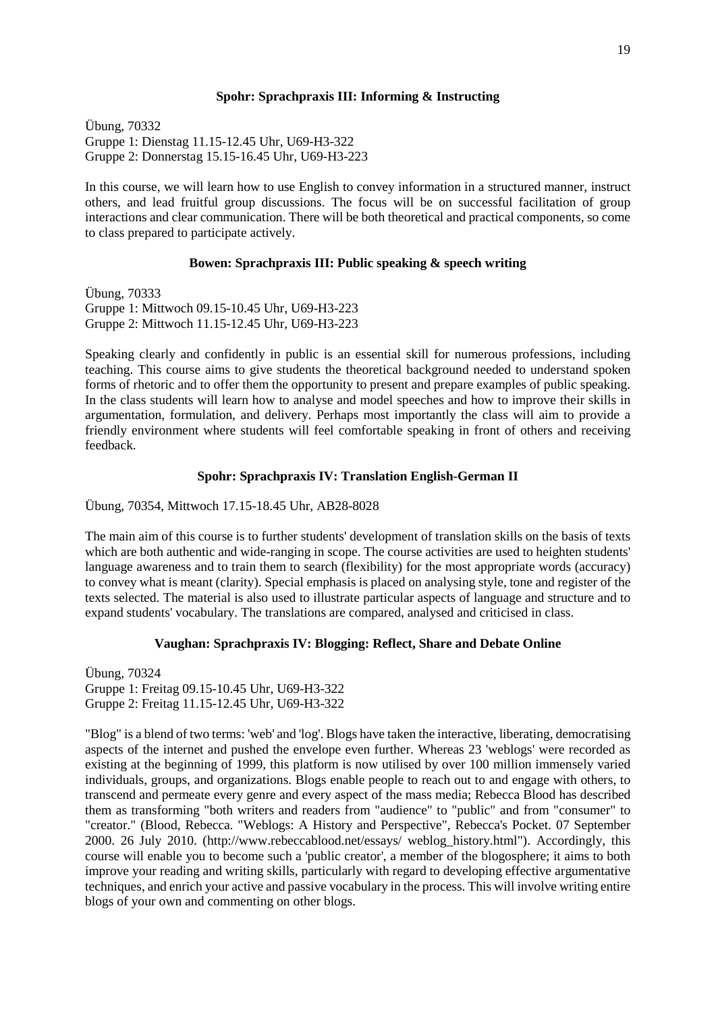#### **Spohr: Sprachpraxis III: Informing & Instructing**

Übung, 70332 Gruppe 1: Dienstag 11.15-12.45 Uhr, U69-H3-322 Gruppe 2: Donnerstag 15.15-16.45 Uhr, U69-H3-223

In this course, we will learn how to use English to convey information in a structured manner, instruct others, and lead fruitful group discussions. The focus will be on successful facilitation of group interactions and clear communication. There will be both theoretical and practical components, so come to class prepared to participate actively.

#### **Bowen: Sprachpraxis III: Public speaking & speech writing**

Übung, 70333 Gruppe 1: Mittwoch 09.15-10.45 Uhr, U69-H3-223 Gruppe 2: Mittwoch 11.15-12.45 Uhr, U69-H3-223

Speaking clearly and confidently in public is an essential skill for numerous professions, including teaching. This course aims to give students the theoretical background needed to understand spoken forms of rhetoric and to offer them the opportunity to present and prepare examples of public speaking. In the class students will learn how to analyse and model speeches and how to improve their skills in argumentation, formulation, and delivery. Perhaps most importantly the class will aim to provide a friendly environment where students will feel comfortable speaking in front of others and receiving feedback.

#### **Spohr: Sprachpraxis IV: Translation English-German II**

Übung, 70354, Mittwoch 17.15-18.45 Uhr, AB28-8028

The main aim of this course is to further students' development of translation skills on the basis of texts which are both authentic and wide-ranging in scope. The course activities are used to heighten students' language awareness and to train them to search (flexibility) for the most appropriate words (accuracy) to convey what is meant (clarity). Special emphasis is placed on analysing style, tone and register of the texts selected. The material is also used to illustrate particular aspects of language and structure and to expand students' vocabulary. The translations are compared, analysed and criticised in class.

## **Vaughan: Sprachpraxis IV: Blogging: Reflect, Share and Debate Online**

Übung, 70324 Gruppe 1: Freitag 09.15-10.45 Uhr, U69-H3-322 Gruppe 2: Freitag 11.15-12.45 Uhr, U69-H3-322

"Blog" is a blend of two terms: 'web' and 'log'. Blogs have taken the interactive, liberating, democratising aspects of the internet and pushed the envelope even further. Whereas 23 'weblogs' were recorded as existing at the beginning of 1999, this platform is now utilised by over 100 million immensely varied individuals, groups, and organizations. Blogs enable people to reach out to and engage with others, to transcend and permeate every genre and every aspect of the mass media; Rebecca Blood has described them as transforming "both writers and readers from "audience" to "public" and from "consumer" to "creator." (Blood, Rebecca. "Weblogs: A History and Perspective", Rebecca's Pocket. 07 September 2000. 26 July 2010. (http://www.rebeccablood.net/essays/ weblog\_history.html"). Accordingly, this course will enable you to become such a 'public creator', a member of the blogosphere; it aims to both improve your reading and writing skills, particularly with regard to developing effective argumentative techniques, and enrich your active and passive vocabulary in the process. This will involve writing entire blogs of your own and commenting on other blogs.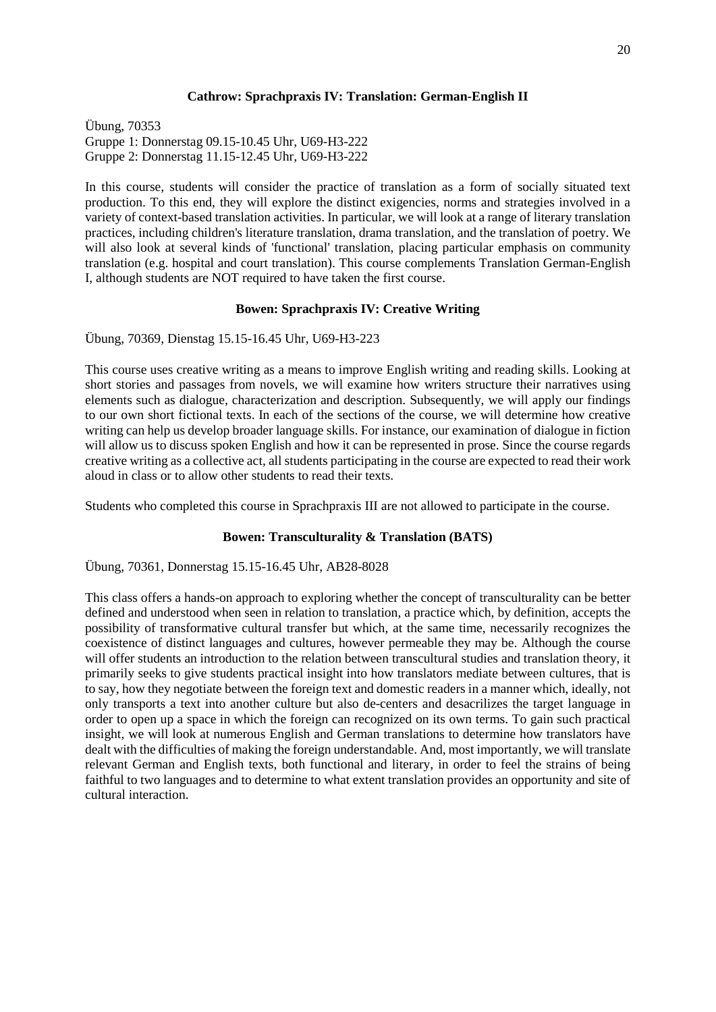#### **Cathrow: Sprachpraxis IV: Translation: German-English II**

Übung, 70353 Gruppe 1: Donnerstag 09.15-10.45 Uhr, U69-H3-222 Gruppe 2: Donnerstag 11.15-12.45 Uhr, U69-H3-222

In this course, students will consider the practice of translation as a form of socially situated text production. To this end, they will explore the distinct exigencies, norms and strategies involved in a variety of context-based translation activities. In particular, we will look at a range of literary translation practices, including children's literature translation, drama translation, and the translation of poetry. We will also look at several kinds of 'functional' translation, placing particular emphasis on community translation (e.g. hospital and court translation). This course complements Translation German-English I, although students are NOT required to have taken the first course.

#### **Bowen: Sprachpraxis IV: Creative Writing**

Übung, 70369, Dienstag 15.15-16.45 Uhr, U69-H3-223

This course uses creative writing as a means to improve English writing and reading skills. Looking at short stories and passages from novels, we will examine how writers structure their narratives using elements such as dialogue, characterization and description. Subsequently, we will apply our findings to our own short fictional texts. In each of the sections of the course, we will determine how creative writing can help us develop broader language skills. For instance, our examination of dialogue in fiction will allow us to discuss spoken English and how it can be represented in prose. Since the course regards creative writing as a collective act, all students participating in the course are expected to read their work aloud in class or to allow other students to read their texts.

Students who completed this course in Sprachpraxis III are not allowed to participate in the course.

## **Bowen: Transculturality & Translation (BATS)**

Übung, 70361, Donnerstag 15.15-16.45 Uhr, AB28-8028

<span id="page-19-0"></span>This class offers a hands-on approach to exploring whether the concept of transculturality can be better defined and understood when seen in relation to translation, a practice which, by definition, accepts the possibility of transformative cultural transfer but which, at the same time, necessarily recognizes the coexistence of distinct languages and cultures, however permeable they may be. Although the course will offer students an introduction to the relation between transcultural studies and translation theory, it primarily seeks to give students practical insight into how translators mediate between cultures, that is to say, how they negotiate between the foreign text and domestic readers in a manner which, ideally, not only transports a text into another culture but also de-centers and desacrilizes the target language in order to open up a space in which the foreign can recognized on its own terms. To gain such practical insight, we will look at numerous English and German translations to determine how translators have dealt with the difficulties of making the foreign understandable. And, most importantly, we will translate relevant German and English texts, both functional and literary, in order to feel the strains of being faithful to two languages and to determine to what extent translation provides an opportunity and site of cultural interaction.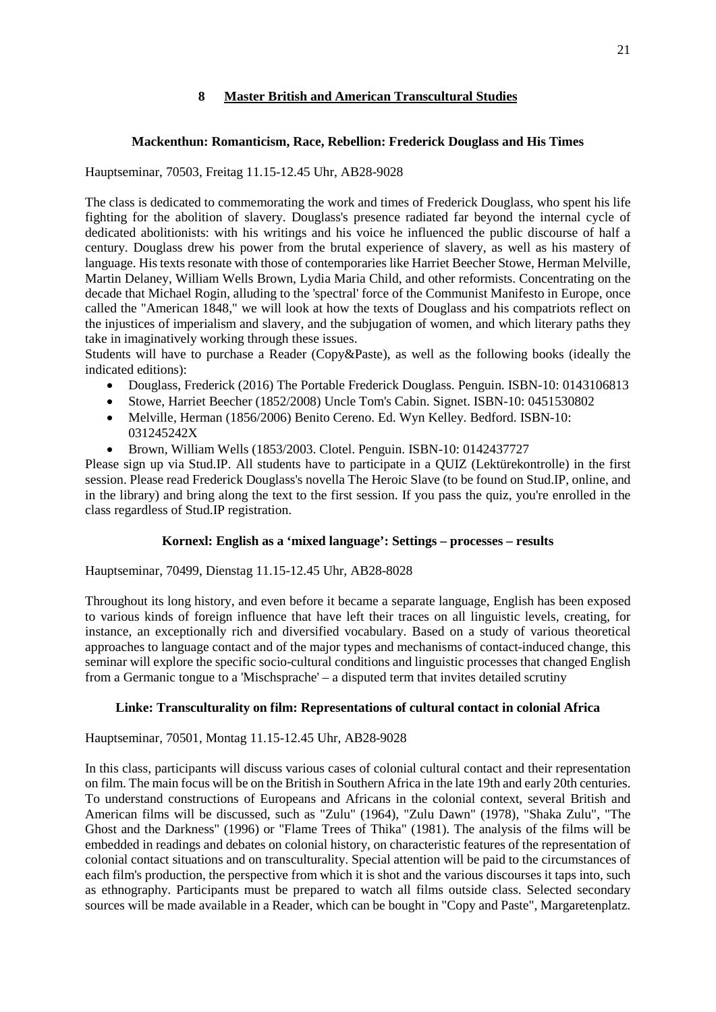# **8 Master British and American Transcultural Studies**

## **Mackenthun: Romanticism, Race, Rebellion: Frederick Douglass and His Times**

Hauptseminar, 70503, Freitag 11.15-12.45 Uhr, AB28-9028

The class is dedicated to commemorating the work and times of Frederick Douglass, who spent his life fighting for the abolition of slavery. Douglass's presence radiated far beyond the internal cycle of dedicated abolitionists: with his writings and his voice he influenced the public discourse of half a century. Douglass drew his power from the brutal experience of slavery, as well as his mastery of language. His texts resonate with those of contemporaries like Harriet Beecher Stowe, Herman Melville, Martin Delaney, William Wells Brown, Lydia Maria Child, and other reformists. Concentrating on the decade that Michael Rogin, alluding to the 'spectral' force of the Communist Manifesto in Europe, once called the "American 1848," we will look at how the texts of Douglass and his compatriots reflect on the injustices of imperialism and slavery, and the subjugation of women, and which literary paths they take in imaginatively working through these issues.

Students will have to purchase a Reader (Copy&Paste), as well as the following books (ideally the indicated editions):

- Douglass, Frederick (2016) The Portable Frederick Douglass. Penguin. ISBN-10: 0143106813
- Stowe, Harriet Beecher (1852/2008) Uncle Tom's Cabin. Signet. ISBN-10: 0451530802
- Melville, Herman (1856/2006) Benito Cereno. Ed. Wyn Kelley. Bedford. ISBN-10: 031245242X
- Brown, William Wells (1853/2003. Clotel. Penguin. ISBN-10: 0142437727

Please sign up via Stud.IP. All students have to participate in a QUIZ (Lektürekontrolle) in the first session. Please read Frederick Douglass's novella The Heroic Slave (to be found on Stud.IP, online, and in the library) and bring along the text to the first session. If you pass the quiz, you're enrolled in the class regardless of Stud.IP registration.

## **Kornexl: English as a 'mixed language': Settings – processes – results**

Hauptseminar, 70499, Dienstag 11.15-12.45 Uhr, AB28-8028

Throughout its long history, and even before it became a separate language, English has been exposed to various kinds of foreign influence that have left their traces on all linguistic levels, creating, for instance, an exceptionally rich and diversified vocabulary. Based on a study of various theoretical approaches to language contact and of the major types and mechanisms of contact-induced change, this seminar will explore the specific socio-cultural conditions and linguistic processes that changed English from a Germanic tongue to a 'Mischsprache' – a disputed term that invites detailed scrutiny

## **Linke: Transculturality on film: Representations of cultural contact in colonial Africa**

Hauptseminar, 70501, Montag 11.15-12.45 Uhr, AB28-9028

In this class, participants will discuss various cases of colonial cultural contact and their representation on film. The main focus will be on the British in Southern Africa in the late 19th and early 20th centuries. To understand constructions of Europeans and Africans in the colonial context, several British and American films will be discussed, such as "Zulu" (1964), "Zulu Dawn" (1978), "Shaka Zulu", "The Ghost and the Darkness" (1996) or "Flame Trees of Thika" (1981). The analysis of the films will be embedded in readings and debates on colonial history, on characteristic features of the representation of colonial contact situations and on transculturality. Special attention will be paid to the circumstances of each film's production, the perspective from which it is shot and the various discourses it taps into, such as ethnography. Participants must be prepared to watch all films outside class. Selected secondary sources will be made available in a Reader, which can be bought in "Copy and Paste", Margaretenplatz.